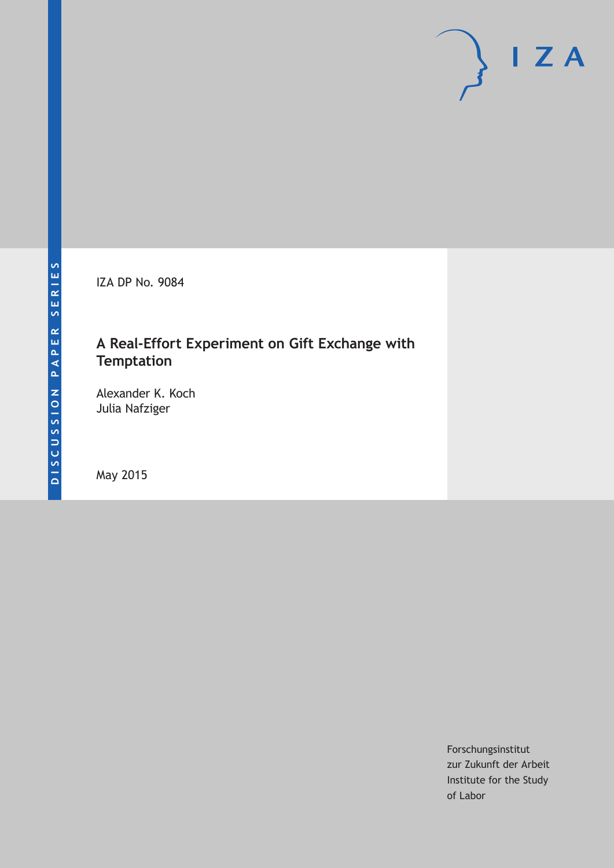IZA DP No. 9084

# **A Real-Effort Experiment on Gift Exchange with Temptation**

Alexander K. Koch Julia Nafziger

May 2015

Forschungsinstitut zur Zukunft der Arbeit Institute for the Study of Labor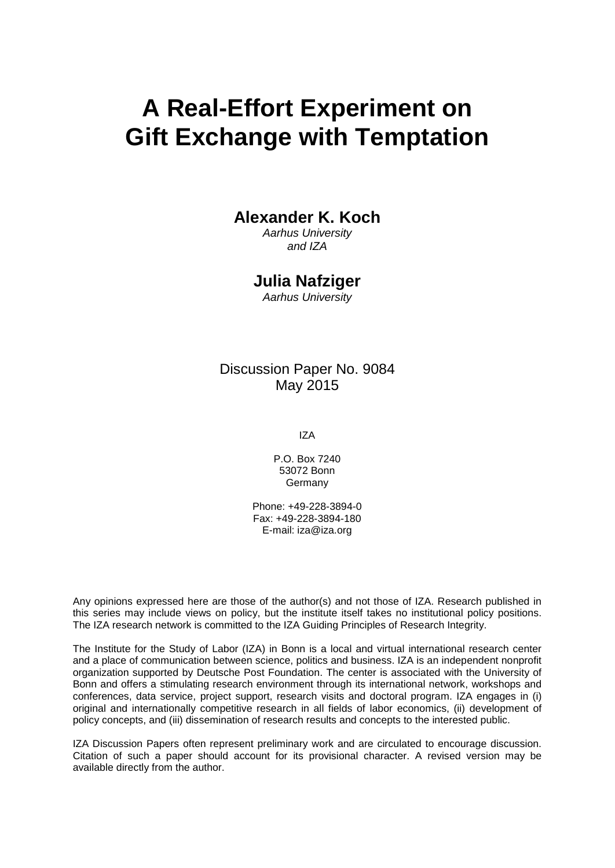# **A Real-Effort Experiment on Gift Exchange with Temptation**

## **Alexander K. Koch**

*Aarhus University and IZA*

## **Julia Nafziger**

*Aarhus University*

## Discussion Paper No. 9084 May 2015

IZA

P.O. Box 7240 53072 Bonn Germany

Phone: +49-228-3894-0 Fax: +49-228-3894-180 E-mail: iza@iza.org

Any opinions expressed here are those of the author(s) and not those of IZA. Research published in this series may include views on policy, but the institute itself takes no institutional policy positions. The IZA research network is committed to the IZA Guiding Principles of Research Integrity.

The Institute for the Study of Labor (IZA) in Bonn is a local and virtual international research center and a place of communication between science, politics and business. IZA is an independent nonprofit organization supported by Deutsche Post Foundation. The center is associated with the University of Bonn and offers a stimulating research environment through its international network, workshops and conferences, data service, project support, research visits and doctoral program. IZA engages in (i) original and internationally competitive research in all fields of labor economics, (ii) development of policy concepts, and (iii) dissemination of research results and concepts to the interested public.

<span id="page-1-0"></span>IZA Discussion Papers often represent preliminary work and are circulated to encourage discussion. Citation of such a paper should account for its provisional character. A revised version may be available directly from the author.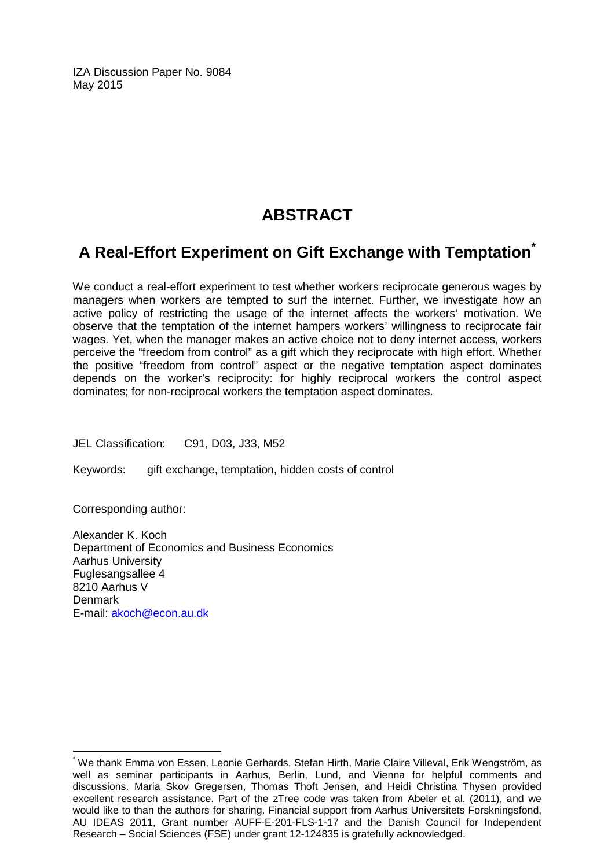IZA Discussion Paper No. 9084 May 2015

# **ABSTRACT**

# **A Real-Effort Experiment on Gift Exchange with Temptation[\\*](#page-1-0)**

We conduct a real-effort experiment to test whether workers reciprocate generous wages by managers when workers are tempted to surf the internet. Further, we investigate how an active policy of restricting the usage of the internet affects the workers' motivation. We observe that the temptation of the internet hampers workers' willingness to reciprocate fair wages. Yet, when the manager makes an active choice not to deny internet access, workers perceive the "freedom from control" as a gift which they reciprocate with high effort. Whether the positive "freedom from control" aspect or the negative temptation aspect dominates depends on the worker's reciprocity: for highly reciprocal workers the control aspect dominates; for non-reciprocal workers the temptation aspect dominates.

JEL Classification: C91, D03, J33, M52

Keywords: gift exchange, temptation, hidden costs of control

Corresponding author:

Alexander K. Koch Department of Economics and Business Economics Aarhus University Fuglesangsallee 4 8210 Aarhus V Denmark E-mail: [akoch@econ.au.dk](mailto:akoch@econ.au.dk)

\* We thank Emma von Essen, Leonie Gerhards, Stefan Hirth, Marie Claire Villeval, Erik Wengström, as well as seminar participants in Aarhus, Berlin, Lund, and Vienna for helpful comments and discussions. Maria Skov Gregersen, Thomas Thoft Jensen, and Heidi Christina Thysen provided excellent research assistance. Part of the zTree code was taken from Abeler et al. (2011), and we would like to than the authors for sharing. Financial support from Aarhus Universitets Forskningsfond, AU IDEAS 2011, Grant number AUFF-E-201-FLS-1-17 and the Danish Council for Independent Research – Social Sciences (FSE) under grant 12-124835 is gratefully acknowledged.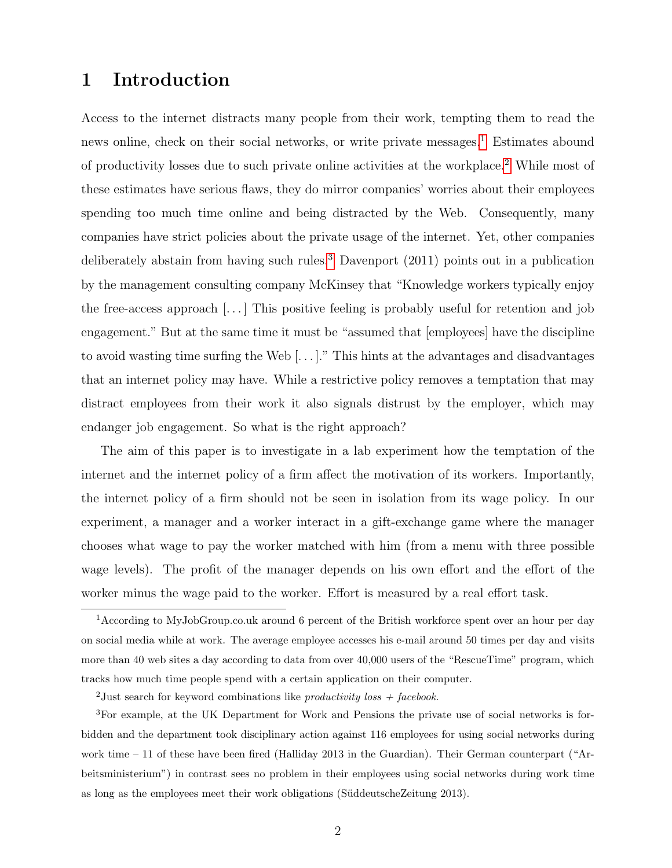## 1 Introduction

Access to the internet distracts many people from their work, tempting them to read the news online, check on their social networks, or write private messages.<sup>[1](#page-3-0)</sup> Estimates abound of productivity losses due to such private online activities at the workplace.[2](#page-3-1) While most of these estimates have serious flaws, they do mirror companies' worries about their employees spending too much time online and being distracted by the Web. Consequently, many companies have strict policies about the private usage of the internet. Yet, other companies deliberately abstain from having such rules.<sup>[3](#page-3-2)</sup> Davenport  $(2011)$  points out in a publication by the management consulting company McKinsey that "Knowledge workers typically enjoy the free-access approach [. . . ] This positive feeling is probably useful for retention and job engagement." But at the same time it must be "assumed that [employees] have the discipline to avoid wasting time surfing the Web [. . . ]." This hints at the advantages and disadvantages that an internet policy may have. While a restrictive policy removes a temptation that may distract employees from their work it also signals distrust by the employer, which may endanger job engagement. So what is the right approach?

The aim of this paper is to investigate in a lab experiment how the temptation of the internet and the internet policy of a firm affect the motivation of its workers. Importantly, the internet policy of a firm should not be seen in isolation from its wage policy. In our experiment, a manager and a worker interact in a gift-exchange game where the manager chooses what wage to pay the worker matched with him (from a menu with three possible wage levels). The profit of the manager depends on his own effort and the effort of the worker minus the wage paid to the worker. Effort is measured by a real effort task.

<span id="page-3-0"></span><sup>1</sup>According to MyJobGroup.co.uk around 6 percent of the British workforce spent over an hour per day on social media while at work. The average employee accesses his e-mail around 50 times per day and visits more than 40 web sites a day according to data from over 40,000 users of the "RescueTime" program, which tracks how much time people spend with a certain application on their computer.

<span id="page-3-2"></span><span id="page-3-1"></span><sup>&</sup>lt;sup>2</sup>Just search for keyword combinations like *productivity* loss  $+$  facebook.

<sup>3</sup>For example, at the UK Department for Work and Pensions the private use of social networks is forbidden and the department took disciplinary action against 116 employees for using social networks during work time – 11 of these have been fired (Halliday 2013 in the Guardian). Their German counterpart ("Arbeitsministerium") in contrast sees no problem in their employees using social networks during work time as long as the employees meet their work obligations (S¨uddeutscheZeitung 2013).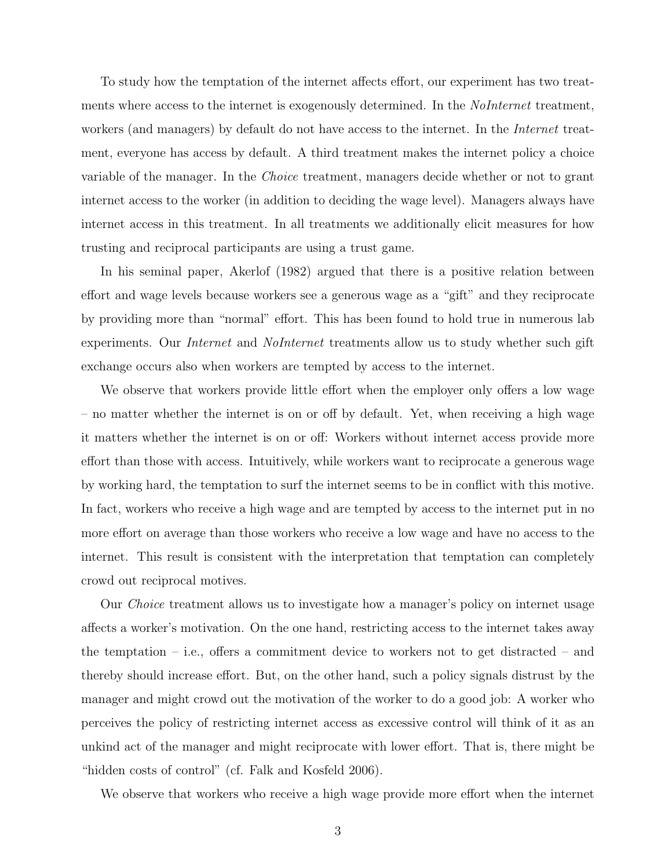To study how the temptation of the internet affects effort, our experiment has two treatments where access to the internet is exogenously determined. In the *NoInternet* treatment, workers (and managers) by default do not have access to the internet. In the *Internet* treatment, everyone has access by default. A third treatment makes the internet policy a choice variable of the manager. In the Choice treatment, managers decide whether or not to grant internet access to the worker (in addition to deciding the wage level). Managers always have internet access in this treatment. In all treatments we additionally elicit measures for how trusting and reciprocal participants are using a trust game.

In his seminal paper, Akerlof (1982) argued that there is a positive relation between effort and wage levels because workers see a generous wage as a "gift" and they reciprocate by providing more than "normal" effort. This has been found to hold true in numerous lab experiments. Our *Internet* and *NoInternet* treatments allow us to study whether such gift exchange occurs also when workers are tempted by access to the internet.

We observe that workers provide little effort when the employer only offers a low wage – no matter whether the internet is on or off by default. Yet, when receiving a high wage it matters whether the internet is on or off: Workers without internet access provide more effort than those with access. Intuitively, while workers want to reciprocate a generous wage by working hard, the temptation to surf the internet seems to be in conflict with this motive. In fact, workers who receive a high wage and are tempted by access to the internet put in no more effort on average than those workers who receive a low wage and have no access to the internet. This result is consistent with the interpretation that temptation can completely crowd out reciprocal motives.

Our Choice treatment allows us to investigate how a manager's policy on internet usage affects a worker's motivation. On the one hand, restricting access to the internet takes away the temptation – i.e., offers a commitment device to workers not to get distracted – and thereby should increase effort. But, on the other hand, such a policy signals distrust by the manager and might crowd out the motivation of the worker to do a good job: A worker who perceives the policy of restricting internet access as excessive control will think of it as an unkind act of the manager and might reciprocate with lower effort. That is, there might be "hidden costs of control" (cf. Falk and Kosfeld 2006).

We observe that workers who receive a high wage provide more effort when the internet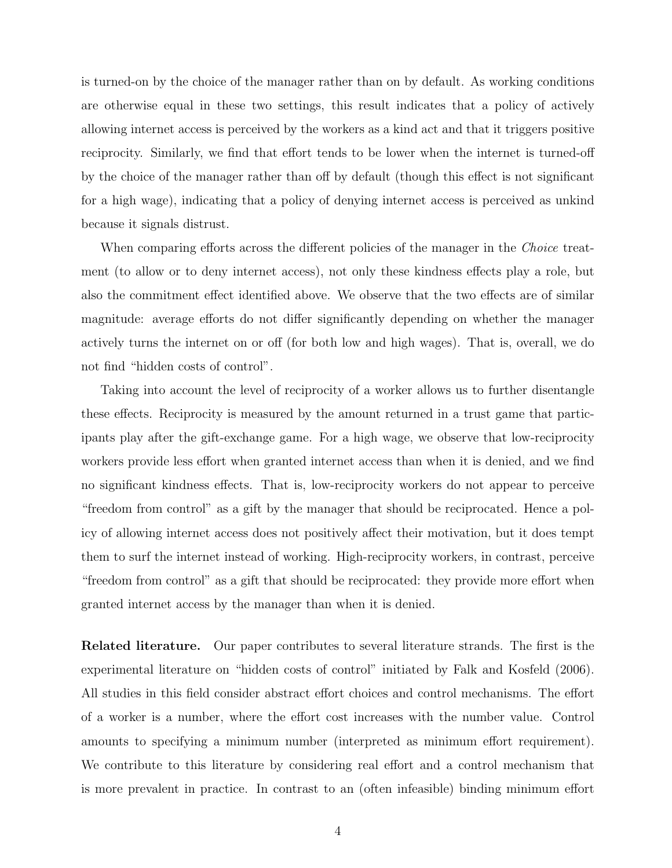is turned-on by the choice of the manager rather than on by default. As working conditions are otherwise equal in these two settings, this result indicates that a policy of actively allowing internet access is perceived by the workers as a kind act and that it triggers positive reciprocity. Similarly, we find that effort tends to be lower when the internet is turned-off by the choice of the manager rather than off by default (though this effect is not significant for a high wage), indicating that a policy of denying internet access is perceived as unkind because it signals distrust.

When comparing efforts across the different policies of the manager in the *Choice* treatment (to allow or to deny internet access), not only these kindness effects play a role, but also the commitment effect identified above. We observe that the two effects are of similar magnitude: average efforts do not differ significantly depending on whether the manager actively turns the internet on or off (for both low and high wages). That is, overall, we do not find "hidden costs of control".

Taking into account the level of reciprocity of a worker allows us to further disentangle these effects. Reciprocity is measured by the amount returned in a trust game that participants play after the gift-exchange game. For a high wage, we observe that low-reciprocity workers provide less effort when granted internet access than when it is denied, and we find no significant kindness effects. That is, low-reciprocity workers do not appear to perceive "freedom from control" as a gift by the manager that should be reciprocated. Hence a policy of allowing internet access does not positively affect their motivation, but it does tempt them to surf the internet instead of working. High-reciprocity workers, in contrast, perceive "freedom from control" as a gift that should be reciprocated: they provide more effort when granted internet access by the manager than when it is denied.

Related literature. Our paper contributes to several literature strands. The first is the experimental literature on "hidden costs of control" initiated by Falk and Kosfeld (2006). All studies in this field consider abstract effort choices and control mechanisms. The effort of a worker is a number, where the effort cost increases with the number value. Control amounts to specifying a minimum number (interpreted as minimum effort requirement). We contribute to this literature by considering real effort and a control mechanism that is more prevalent in practice. In contrast to an (often infeasible) binding minimum effort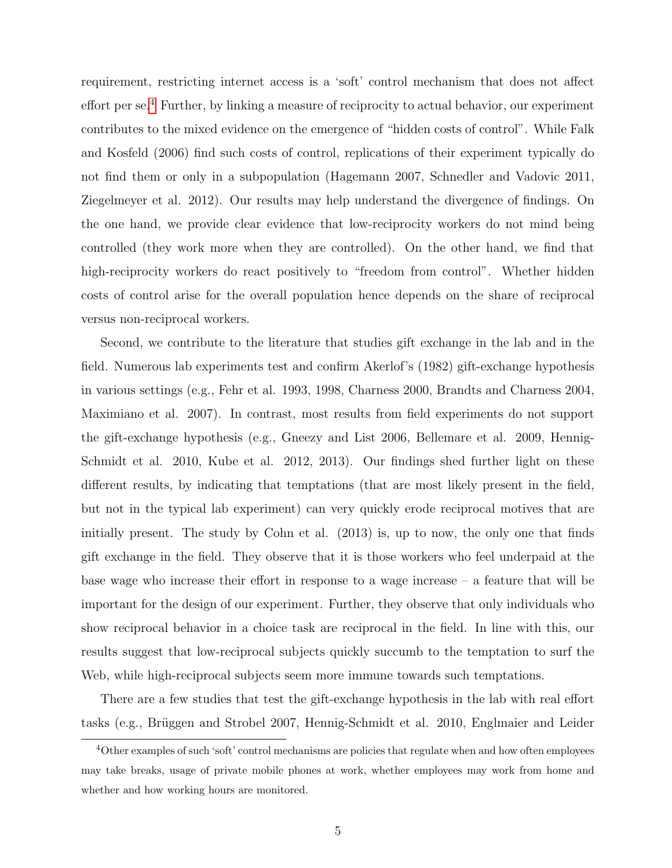requirement, restricting internet access is a 'soft' control mechanism that does not affect effort per se.[4](#page-6-0) Further, by linking a measure of reciprocity to actual behavior, our experiment contributes to the mixed evidence on the emergence of "hidden costs of control". While Falk and Kosfeld (2006) find such costs of control, replications of their experiment typically do not find them or only in a subpopulation (Hagemann 2007, Schnedler and Vadovic 2011, Ziegelmeyer et al. 2012). Our results may help understand the divergence of findings. On the one hand, we provide clear evidence that low-reciprocity workers do not mind being controlled (they work more when they are controlled). On the other hand, we find that high-reciprocity workers do react positively to "freedom from control". Whether hidden costs of control arise for the overall population hence depends on the share of reciprocal versus non-reciprocal workers.

Second, we contribute to the literature that studies gift exchange in the lab and in the field. Numerous lab experiments test and confirm Akerlof's (1982) gift-exchange hypothesis in various settings (e.g., Fehr et al. 1993, 1998, Charness 2000, Brandts and Charness 2004, Maximiano et al. 2007). In contrast, most results from field experiments do not support the gift-exchange hypothesis (e.g., Gneezy and List 2006, Bellemare et al. 2009, Hennig-Schmidt et al. 2010, Kube et al. 2012, 2013). Our findings shed further light on these different results, by indicating that temptations (that are most likely present in the field, but not in the typical lab experiment) can very quickly erode reciprocal motives that are initially present. The study by Cohn et al. (2013) is, up to now, the only one that finds gift exchange in the field. They observe that it is those workers who feel underpaid at the base wage who increase their effort in response to a wage increase – a feature that will be important for the design of our experiment. Further, they observe that only individuals who show reciprocal behavior in a choice task are reciprocal in the field. In line with this, our results suggest that low-reciprocal subjects quickly succumb to the temptation to surf the Web, while high-reciprocal subjects seem more immune towards such temptations.

There are a few studies that test the gift-exchange hypothesis in the lab with real effort tasks (e.g., Brüggen and Strobel 2007, Hennig-Schmidt et al. 2010, Englmaier and Leider

<span id="page-6-0"></span><sup>&</sup>lt;sup>4</sup>Other examples of such 'soft' control mechanisms are policies that regulate when and how often employees may take breaks, usage of private mobile phones at work, whether employees may work from home and whether and how working hours are monitored.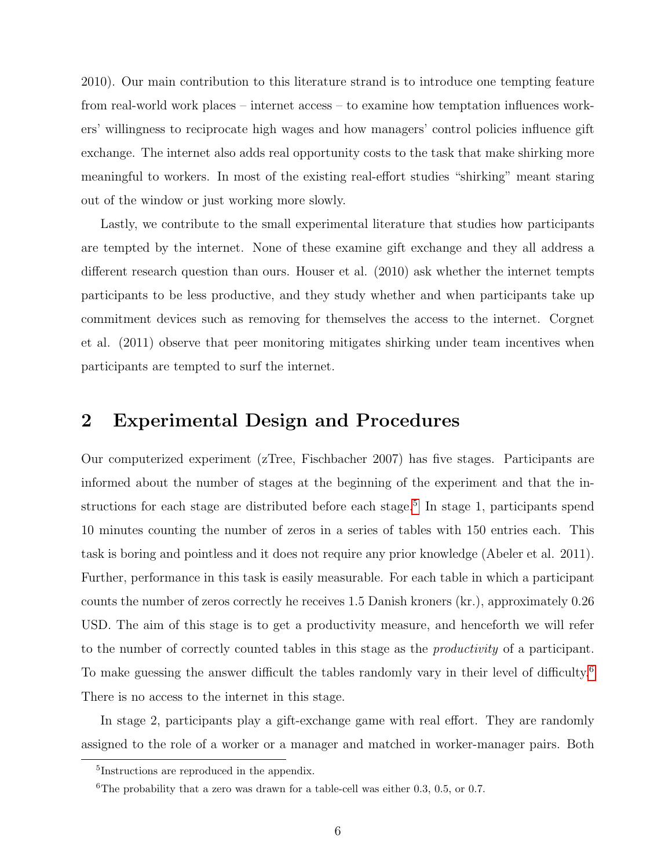2010). Our main contribution to this literature strand is to introduce one tempting feature from real-world work places – internet access – to examine how temptation influences workers' willingness to reciprocate high wages and how managers' control policies influence gift exchange. The internet also adds real opportunity costs to the task that make shirking more meaningful to workers. In most of the existing real-effort studies "shirking" meant staring out of the window or just working more slowly.

Lastly, we contribute to the small experimental literature that studies how participants are tempted by the internet. None of these examine gift exchange and they all address a different research question than ours. Houser et al. (2010) ask whether the internet tempts participants to be less productive, and they study whether and when participants take up commitment devices such as removing for themselves the access to the internet. Corgnet et al. (2011) observe that peer monitoring mitigates shirking under team incentives when participants are tempted to surf the internet.

## 2 Experimental Design and Procedures

Our computerized experiment (zTree, Fischbacher 2007) has five stages. Participants are informed about the number of stages at the beginning of the experiment and that the in-structions for each stage are distributed before each stage.<sup>[5](#page-7-0)</sup> In stage 1, participants spend 10 minutes counting the number of zeros in a series of tables with 150 entries each. This task is boring and pointless and it does not require any prior knowledge (Abeler et al. 2011). Further, performance in this task is easily measurable. For each table in which a participant counts the number of zeros correctly he receives 1.5 Danish kroners (kr.), approximately 0.26 USD. The aim of this stage is to get a productivity measure, and henceforth we will refer to the number of correctly counted tables in this stage as the *productivity* of a participant. To make guessing the answer difficult the tables randomly vary in their level of difficulty.<sup>[6](#page-7-1)</sup> There is no access to the internet in this stage.

In stage 2, participants play a gift-exchange game with real effort. They are randomly assigned to the role of a worker or a manager and matched in worker-manager pairs. Both

<span id="page-7-1"></span><span id="page-7-0"></span><sup>5</sup> Instructions are reproduced in the appendix.

<sup>&</sup>lt;sup>6</sup>The probability that a zero was drawn for a table-cell was either  $0.3, 0.5,$  or  $0.7$ .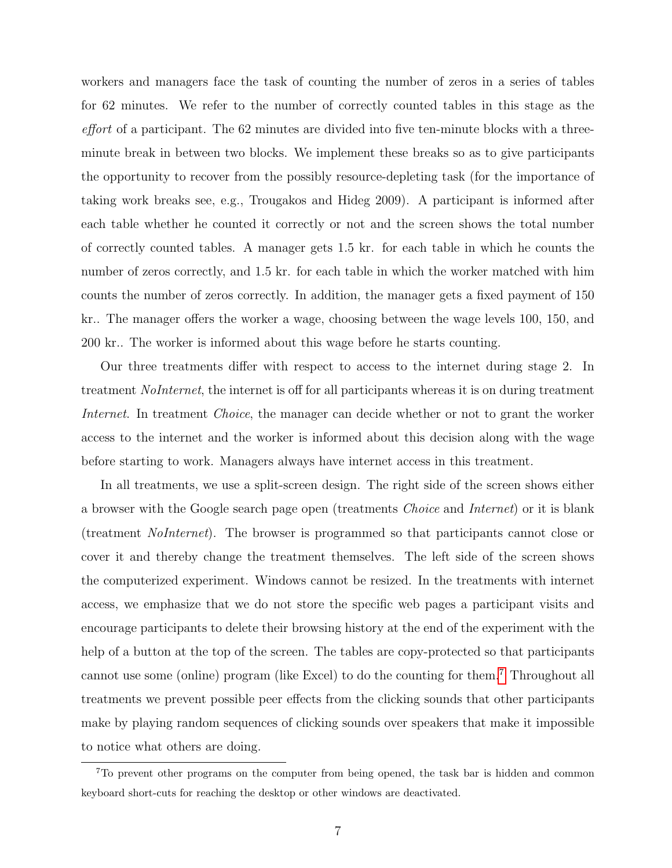workers and managers face the task of counting the number of zeros in a series of tables for 62 minutes. We refer to the number of correctly counted tables in this stage as the effort of a participant. The 62 minutes are divided into five ten-minute blocks with a threeminute break in between two blocks. We implement these breaks so as to give participants the opportunity to recover from the possibly resource-depleting task (for the importance of taking work breaks see, e.g., Trougakos and Hideg 2009). A participant is informed after each table whether he counted it correctly or not and the screen shows the total number of correctly counted tables. A manager gets 1.5 kr. for each table in which he counts the number of zeros correctly, and 1.5 kr. for each table in which the worker matched with him counts the number of zeros correctly. In addition, the manager gets a fixed payment of 150 kr.. The manager offers the worker a wage, choosing between the wage levels 100, 150, and 200 kr.. The worker is informed about this wage before he starts counting.

Our three treatments differ with respect to access to the internet during stage 2. In treatment *NoInternet*, the internet is off for all participants whereas it is on during treatment Internet. In treatment *Choice*, the manager can decide whether or not to grant the worker access to the internet and the worker is informed about this decision along with the wage before starting to work. Managers always have internet access in this treatment.

In all treatments, we use a split-screen design. The right side of the screen shows either a browser with the Google search page open (treatments Choice and Internet) or it is blank (treatment NoInternet). The browser is programmed so that participants cannot close or cover it and thereby change the treatment themselves. The left side of the screen shows the computerized experiment. Windows cannot be resized. In the treatments with internet access, we emphasize that we do not store the specific web pages a participant visits and encourage participants to delete their browsing history at the end of the experiment with the help of a button at the top of the screen. The tables are copy-protected so that participants cannot use some (online) program (like Excel) to do the counting for them.[7](#page-8-0) Throughout all treatments we prevent possible peer effects from the clicking sounds that other participants make by playing random sequences of clicking sounds over speakers that make it impossible to notice what others are doing.

<span id="page-8-0"></span><sup>&</sup>lt;sup>7</sup>To prevent other programs on the computer from being opened, the task bar is hidden and common keyboard short-cuts for reaching the desktop or other windows are deactivated.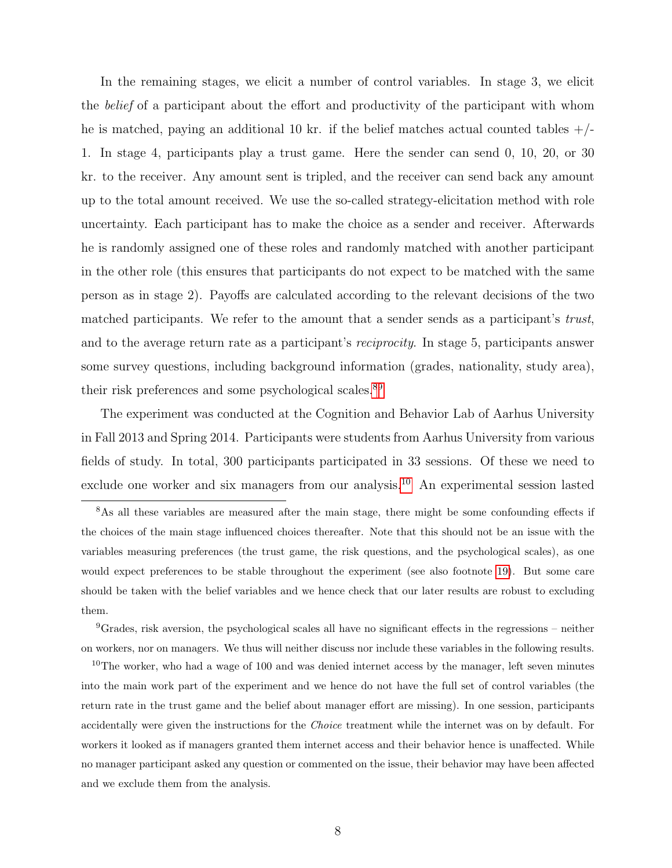In the remaining stages, we elicit a number of control variables. In stage 3, we elicit the belief of a participant about the effort and productivity of the participant with whom he is matched, paying an additional 10 kr. if the belief matches actual counted tables  $+/-$ 1. In stage 4, participants play a trust game. Here the sender can send 0, 10, 20, or 30 kr. to the receiver. Any amount sent is tripled, and the receiver can send back any amount up to the total amount received. We use the so-called strategy-elicitation method with role uncertainty. Each participant has to make the choice as a sender and receiver. Afterwards he is randomly assigned one of these roles and randomly matched with another participant in the other role (this ensures that participants do not expect to be matched with the same person as in stage 2). Payoffs are calculated according to the relevant decisions of the two matched participants. We refer to the amount that a sender sends as a participant's trust, and to the average return rate as a participant's reciprocity. In stage 5, participants answer some survey questions, including background information (grades, nationality, study area), their risk preferences and some psychological scales.<sup>[8](#page-9-0)[9](#page-9-1)</sup>

The experiment was conducted at the Cognition and Behavior Lab of Aarhus University in Fall 2013 and Spring 2014. Participants were students from Aarhus University from various fields of study. In total, 300 participants participated in 33 sessions. Of these we need to exclude one worker and six managers from our analysis.<sup>[10](#page-9-2)</sup> An experimental session lasted

<span id="page-9-0"></span><sup>&</sup>lt;sup>8</sup>As all these variables are measured after the main stage, there might be some confounding effects if the choices of the main stage influenced choices thereafter. Note that this should not be an issue with the variables measuring preferences (the trust game, the risk questions, and the psychological scales), as one would expect preferences to be stable throughout the experiment (see also footnote [19\)](#page-19-0). But some care should be taken with the belief variables and we hence check that our later results are robust to excluding them.

<span id="page-9-1"></span><sup>&</sup>lt;sup>9</sup>Grades, risk aversion, the psychological scales all have no significant effects in the regressions – neither on workers, nor on managers. We thus will neither discuss nor include these variables in the following results.

<span id="page-9-2"></span> $10$ The worker, who had a wage of 100 and was denied internet access by the manager, left seven minutes into the main work part of the experiment and we hence do not have the full set of control variables (the return rate in the trust game and the belief about manager effort are missing). In one session, participants accidentally were given the instructions for the Choice treatment while the internet was on by default. For workers it looked as if managers granted them internet access and their behavior hence is unaffected. While no manager participant asked any question or commented on the issue, their behavior may have been affected and we exclude them from the analysis.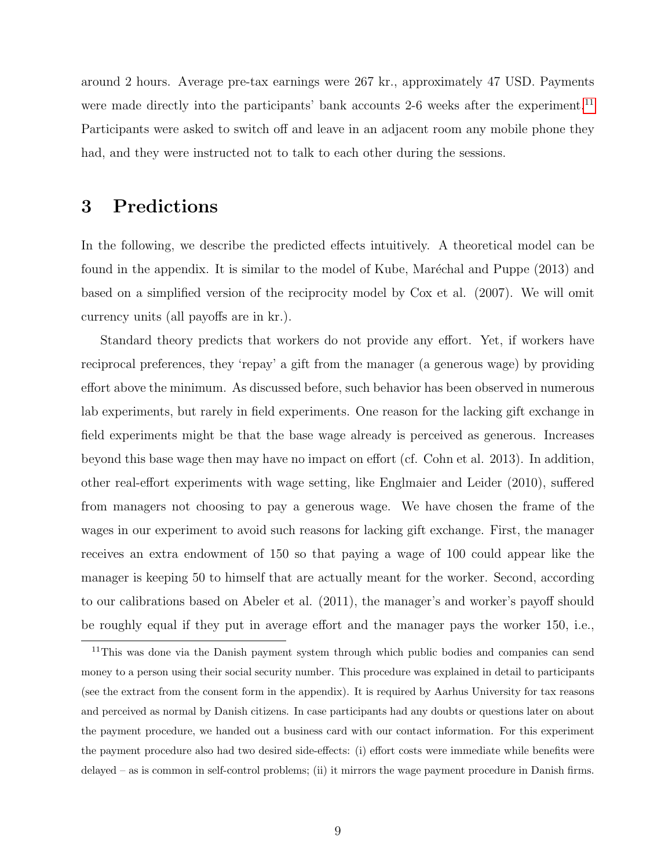around 2 hours. Average pre-tax earnings were 267 kr., approximately 47 USD. Payments were made directly into the participants' bank accounts 2-6 weeks after the experiment.<sup>[11](#page-10-0)</sup> Participants were asked to switch off and leave in an adjacent room any mobile phone they had, and they were instructed not to talk to each other during the sessions.

## 3 Predictions

In the following, we describe the predicted effects intuitively. A theoretical model can be found in the appendix. It is similar to the model of Kube, Maréchal and Puppe (2013) and based on a simplified version of the reciprocity model by Cox et al. (2007). We will omit currency units (all payoffs are in kr.).

Standard theory predicts that workers do not provide any effort. Yet, if workers have reciprocal preferences, they 'repay' a gift from the manager (a generous wage) by providing effort above the minimum. As discussed before, such behavior has been observed in numerous lab experiments, but rarely in field experiments. One reason for the lacking gift exchange in field experiments might be that the base wage already is perceived as generous. Increases beyond this base wage then may have no impact on effort (cf. Cohn et al. 2013). In addition, other real-effort experiments with wage setting, like Englmaier and Leider (2010), suffered from managers not choosing to pay a generous wage. We have chosen the frame of the wages in our experiment to avoid such reasons for lacking gift exchange. First, the manager receives an extra endowment of 150 so that paying a wage of 100 could appear like the manager is keeping 50 to himself that are actually meant for the worker. Second, according to our calibrations based on Abeler et al. (2011), the manager's and worker's payoff should be roughly equal if they put in average effort and the manager pays the worker 150, i.e.,

<span id="page-10-0"></span><sup>&</sup>lt;sup>11</sup>This was done via the Danish payment system through which public bodies and companies can send money to a person using their social security number. This procedure was explained in detail to participants (see the extract from the consent form in the appendix). It is required by Aarhus University for tax reasons and perceived as normal by Danish citizens. In case participants had any doubts or questions later on about the payment procedure, we handed out a business card with our contact information. For this experiment the payment procedure also had two desired side-effects: (i) effort costs were immediate while benefits were delayed – as is common in self-control problems; (ii) it mirrors the wage payment procedure in Danish firms.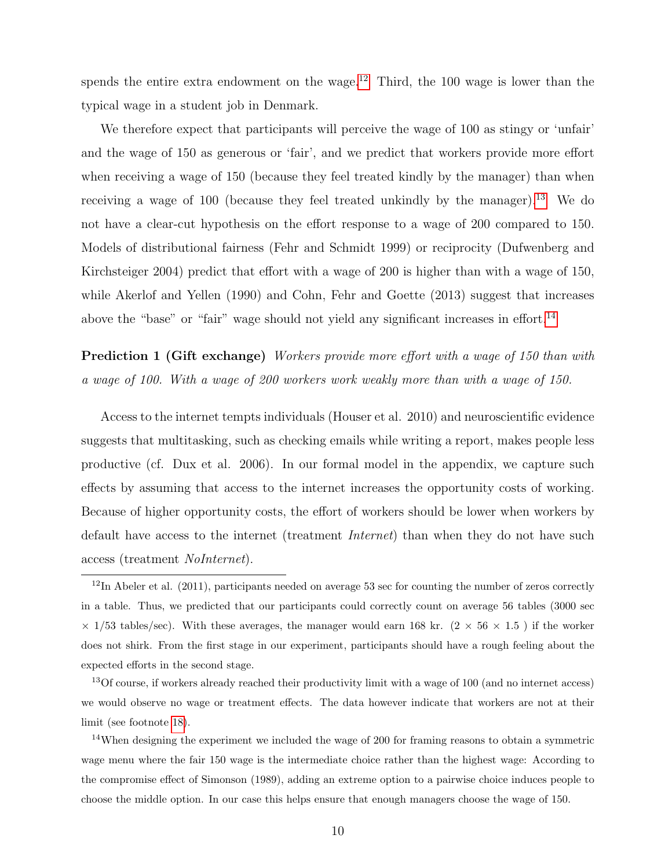spends the entire extra endowment on the wage.<sup>[12](#page-11-0)</sup> Third, the 100 wage is lower than the typical wage in a student job in Denmark.

We therefore expect that participants will perceive the wage of 100 as stingy or 'unfair' and the wage of 150 as generous or 'fair', and we predict that workers provide more effort when receiving a wage of 150 (because they feel treated kindly by the manager) than when receiving a wage of 100 (because they feel treated unkindly by the manager).[13](#page-11-1) We do not have a clear-cut hypothesis on the effort response to a wage of 200 compared to 150. Models of distributional fairness (Fehr and Schmidt 1999) or reciprocity (Dufwenberg and Kirchsteiger 2004) predict that effort with a wage of 200 is higher than with a wage of 150, while Akerlof and Yellen (1990) and Cohn, Fehr and Goette (2013) suggest that increases above the "base" or "fair" wage should not yield any significant increases in effort.<sup>[14](#page-11-2)</sup>

<span id="page-11-3"></span>**Prediction 1 (Gift exchange)** Workers provide more effort with a wage of 150 than with a wage of 100. With a wage of 200 workers work weakly more than with a wage of 150.

Access to the internet tempts individuals (Houser et al. 2010) and neuroscientific evidence suggests that multitasking, such as checking emails while writing a report, makes people less productive (cf. Dux et al. 2006). In our formal model in the appendix, we capture such effects by assuming that access to the internet increases the opportunity costs of working. Because of higher opportunity costs, the effort of workers should be lower when workers by default have access to the internet (treatment Internet) than when they do not have such access (treatment NoInternet).

<span id="page-11-1"></span><sup>13</sup>Of course, if workers already reached their productivity limit with a wage of 100 (and no internet access) we would observe no wage or treatment effects. The data however indicate that workers are not at their limit (see footnote [18\)](#page-17-0).

<span id="page-11-2"></span><sup>14</sup>When designing the experiment we included the wage of 200 for framing reasons to obtain a symmetric wage menu where the fair 150 wage is the intermediate choice rather than the highest wage: According to the compromise effect of Simonson (1989), adding an extreme option to a pairwise choice induces people to choose the middle option. In our case this helps ensure that enough managers choose the wage of 150.

<span id="page-11-0"></span> $12$ In Abeler et al. (2011), participants needed on average 53 sec for counting the number of zeros correctly in a table. Thus, we predicted that our participants could correctly count on average 56 tables (3000 sec  $\times$  1/53 tables/sec). With these averages, the manager would earn 168 kr. (2  $\times$  56  $\times$  1.5) if the worker does not shirk. From the first stage in our experiment, participants should have a rough feeling about the expected efforts in the second stage.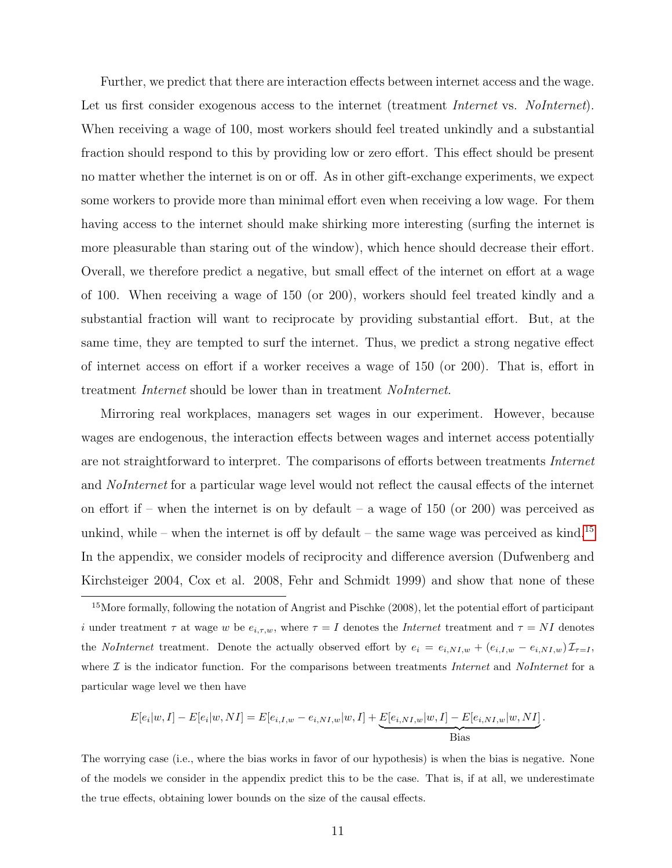Further, we predict that there are interaction effects between internet access and the wage. Let us first consider exogenous access to the internet (treatment Internet vs. NoInternet). When receiving a wage of 100, most workers should feel treated unkindly and a substantial fraction should respond to this by providing low or zero effort. This effect should be present no matter whether the internet is on or off. As in other gift-exchange experiments, we expect some workers to provide more than minimal effort even when receiving a low wage. For them having access to the internet should make shirking more interesting (surfing the internet is more pleasurable than staring out of the window), which hence should decrease their effort. Overall, we therefore predict a negative, but small effect of the internet on effort at a wage of 100. When receiving a wage of 150 (or 200), workers should feel treated kindly and a substantial fraction will want to reciprocate by providing substantial effort. But, at the same time, they are tempted to surf the internet. Thus, we predict a strong negative effect of internet access on effort if a worker receives a wage of 150 (or 200). That is, effort in treatment Internet should be lower than in treatment NoInternet.

Mirroring real workplaces, managers set wages in our experiment. However, because wages are endogenous, the interaction effects between wages and internet access potentially are not straightforward to interpret. The comparisons of efforts between treatments Internet and *NoInternet* for a particular wage level would not reflect the causal effects of the internet on effort if – when the internet is on by default – a wage of  $150$  (or  $200$ ) was perceived as unkind, while – when the internet is off by default – the same wage was perceived as kind.<sup>[15](#page-12-0)</sup> In the appendix, we consider models of reciprocity and difference aversion (Dufwenberg and Kirchsteiger 2004, Cox et al. 2008, Fehr and Schmidt 1999) and show that none of these

$$
E[e_i|w, I] - E[e_i|w, NI] = E[e_{i,I,w} - e_{i,NI,w}|w, I] + \underbrace{E[e_{i,NI,w}|w, I] - E[e_{i,NI,w}|w, NI]}_{\text{Bias}}.
$$

The worrying case (i.e., where the bias works in favor of our hypothesis) is when the bias is negative. None of the models we consider in the appendix predict this to be the case. That is, if at all, we underestimate the true effects, obtaining lower bounds on the size of the causal effects.

<span id="page-12-0"></span><sup>&</sup>lt;sup>15</sup>More formally, following the notation of Angrist and Pischke (2008), let the potential effort of participant i under treatment  $\tau$  at wage w be  $e_{i,\tau,w}$ , where  $\tau = I$  denotes the *Internet* treatment and  $\tau = NI$  denotes the *NoInternet* treatment. Denote the actually observed effort by  $e_i = e_{i,N} I_{,w} + (e_{i,I,w} - e_{i,N} I_{,w}) \mathcal{I}_{\tau=I}$ , where  $\mathcal I$  is the indicator function. For the comparisons between treatments Internet and NoInternet for a particular wage level we then have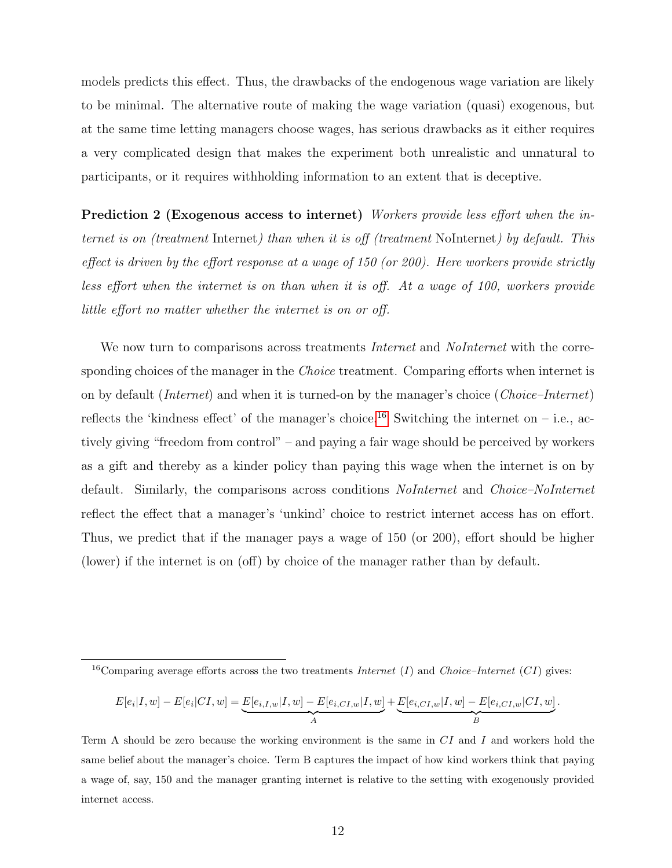models predicts this effect. Thus, the drawbacks of the endogenous wage variation are likely to be minimal. The alternative route of making the wage variation (quasi) exogenous, but at the same time letting managers choose wages, has serious drawbacks as it either requires a very complicated design that makes the experiment both unrealistic and unnatural to participants, or it requires withholding information to an extent that is deceptive.

<span id="page-13-1"></span>Prediction 2 (Exogenous access to internet) Workers provide less effort when the internet is on (treatment Internet) than when it is off (treatment NoInternet) by default. This effect is driven by the effort response at a wage of 150 (or 200). Here workers provide strictly less effort when the internet is on than when it is off. At a wage of 100, workers provide little effort no matter whether the internet is on or off.

We now turn to comparisons across treatments *Internet* and *NoInternet* with the corresponding choices of the manager in the *Choice* treatment. Comparing efforts when internet is on by default (Internet) and when it is turned-on by the manager's choice (Choice–Internet) reflects the 'kindness effect' of the manager's choice.<sup>[16](#page-13-0)</sup> Switching the internet on – i.e., actively giving "freedom from control" – and paying a fair wage should be perceived by workers as a gift and thereby as a kinder policy than paying this wage when the internet is on by default. Similarly, the comparisons across conditions *NoInternet* and *Choice–NoInternet* reflect the effect that a manager's 'unkind' choice to restrict internet access has on effort. Thus, we predict that if the manager pays a wage of 150 (or 200), effort should be higher (lower) if the internet is on (off) by choice of the manager rather than by default.

$$
E[e_i|I, w] - E[e_i|CI, w] = \underbrace{E[e_{i,I,w}|I, w] - E[e_{i,CI,w}|I, w]}_{A} + \underbrace{E[e_{i,CI,w}|I, w] - E[e_{i,CI,w}|CI, w]}_{B}.
$$

<span id="page-13-0"></span><sup>&</sup>lt;sup>16</sup>Comparing average efforts across the two treatments *Internet* (*I*) and *Choice–Internet* (*CI*) gives:

Term A should be zero because the working environment is the same in  $CI$  and I and workers hold the same belief about the manager's choice. Term B captures the impact of how kind workers think that paying a wage of, say, 150 and the manager granting internet is relative to the setting with exogenously provided internet access.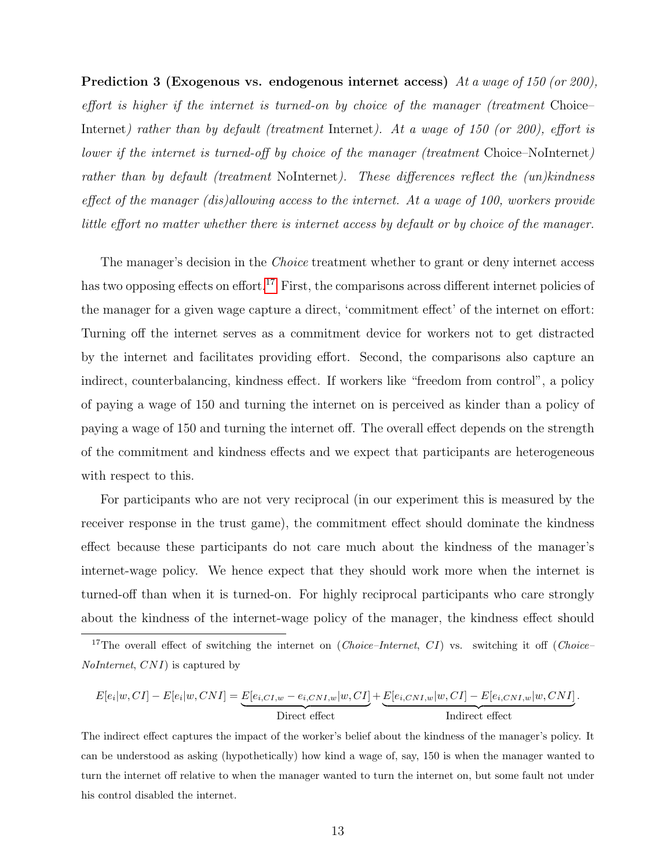<span id="page-14-1"></span>Prediction 3 (Exogenous vs. endogenous internet access) At a wage of 150 (or 200), effort is higher if the internet is turned-on by choice of the manager (treatment Choice– Internet) rather than by default (treatment Internet). At a wage of 150 (or 200), effort is lower if the internet is turned-off by choice of the manager (treatment Choice–NoInternet) rather than by default (treatment NoInternet). These differences reflect the (un)kindness effect of the manager (dis)allowing access to the internet. At a wage of 100, workers provide little effort no matter whether there is internet access by default or by choice of the manager.

The manager's decision in the *Choice* treatment whether to grant or deny internet access has two opposing effects on effort.<sup>[17](#page-14-0)</sup> First, the comparisons across different internet policies of the manager for a given wage capture a direct, 'commitment effect' of the internet on effort: Turning off the internet serves as a commitment device for workers not to get distracted by the internet and facilitates providing effort. Second, the comparisons also capture an indirect, counterbalancing, kindness effect. If workers like "freedom from control", a policy of paying a wage of 150 and turning the internet on is perceived as kinder than a policy of paying a wage of 150 and turning the internet off. The overall effect depends on the strength of the commitment and kindness effects and we expect that participants are heterogeneous with respect to this.

For participants who are not very reciprocal (in our experiment this is measured by the receiver response in the trust game), the commitment effect should dominate the kindness effect because these participants do not care much about the kindness of the manager's internet-wage policy. We hence expect that they should work more when the internet is turned-off than when it is turned-on. For highly reciprocal participants who care strongly about the kindness of the internet-wage policy of the manager, the kindness effect should

$$
E[e_i|w,CI] - E[e_i|w, CNI] = \underbrace{E[e_{i,CI,w} - e_{i,CNI,w}|w,CI]}_{\text{Direct effect}} + \underbrace{E[e_{i,CNI,w}|w,CI] - E[e_{i,CNI,w}|w,CNI]}_{\text{Indirect effect}}.
$$

The indirect effect captures the impact of the worker's belief about the kindness of the manager's policy. It can be understood as asking (hypothetically) how kind a wage of, say, 150 is when the manager wanted to turn the internet off relative to when the manager wanted to turn the internet on, but some fault not under his control disabled the internet.

<span id="page-14-0"></span><sup>&</sup>lt;sup>17</sup>The overall effect of switching the internet on (*Choice–Internet*, *CI*) vs. switching it off (*Choice–* NoInternet, CNI) is captured by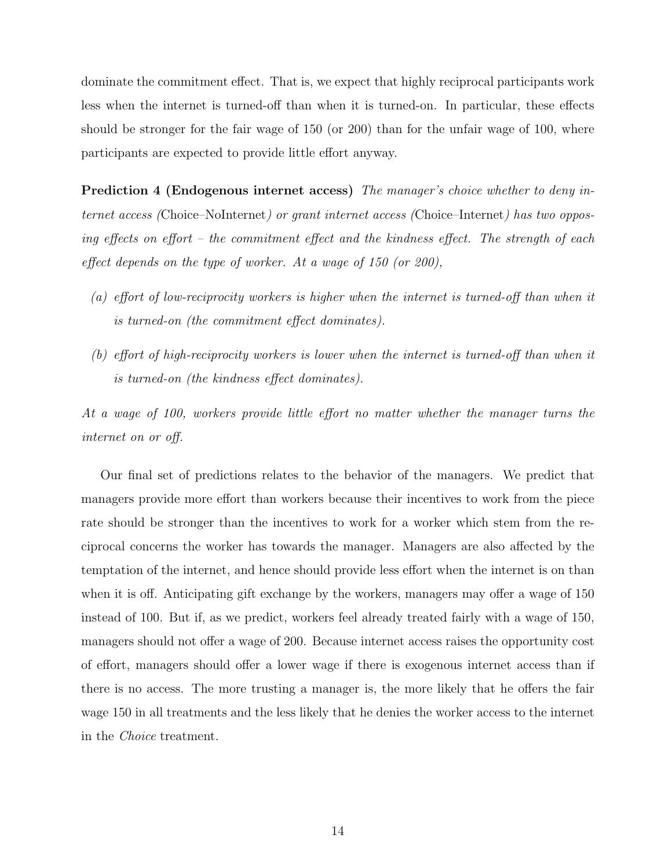dominate the commitment effect. That is, we expect that highly reciprocal participants work less when the internet is turned-off than when it is turned-on. In particular, these effects should be stronger for the fair wage of 150 (or 200) than for the unfair wage of 100, where participants are expected to provide little effort anyway.

<span id="page-15-0"></span>**Prediction 4 (Endogenous internet access)** The manager's choice whether to deny internet access (Choice–NoInternet) or grant internet access (Choice–Internet) has two opposing effects on effort – the commitment effect and the kindness effect. The strength of each effect depends on the type of worker. At a wage of 150 (or 200),

- (a) effort of low-reciprocity workers is higher when the internet is turned-off than when it is turned-on (the commitment effect dominates).
- (b) effort of high-reciprocity workers is lower when the internet is turned-off than when it is turned-on (the kindness effect dominates).

At a wage of 100, workers provide little effort no matter whether the manager turns the internet on or off.

Our final set of predictions relates to the behavior of the managers. We predict that managers provide more effort than workers because their incentives to work from the piece rate should be stronger than the incentives to work for a worker which stem from the reciprocal concerns the worker has towards the manager. Managers are also affected by the temptation of the internet, and hence should provide less effort when the internet is on than when it is off. Anticipating gift exchange by the workers, managers may offer a wage of 150 instead of 100. But if, as we predict, workers feel already treated fairly with a wage of 150, managers should not offer a wage of 200. Because internet access raises the opportunity cost of effort, managers should offer a lower wage if there is exogenous internet access than if there is no access. The more trusting a manager is, the more likely that he offers the fair wage 150 in all treatments and the less likely that he denies the worker access to the internet in the Choice treatment.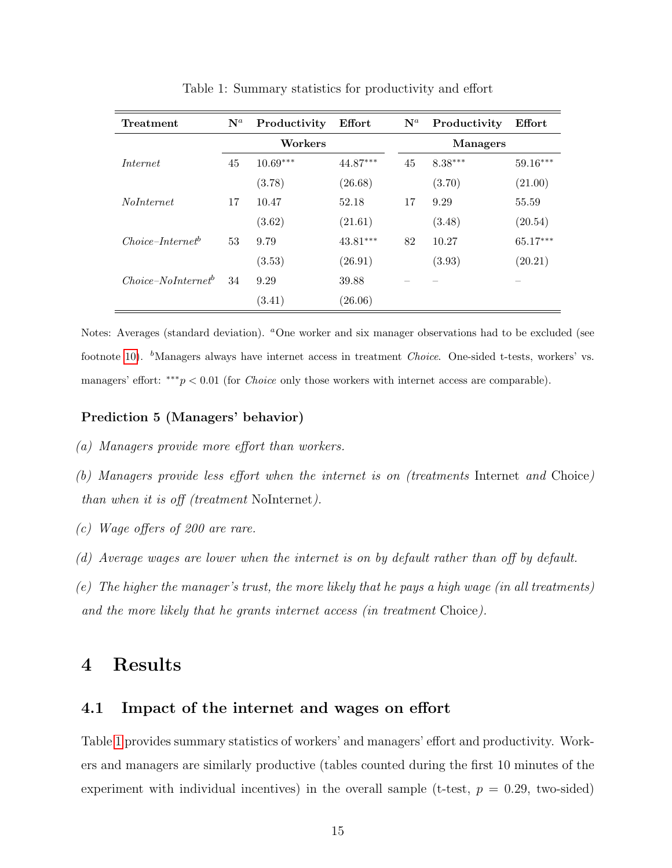| Treatment            | $\mathbf{N}^a$ | Productivity | Effort     | $\mathbf{N}^a$ | Productivity    | Effort     |  |  |
|----------------------|----------------|--------------|------------|----------------|-----------------|------------|--|--|
|                      |                | Workers      |            |                | <b>Managers</b> |            |  |  |
| <i>Internet</i>      | 45             | $10.69***$   | 44.87***   | 45             | $8.38***$       | $59.16***$ |  |  |
|                      |                | (3.78)       | (26.68)    |                | (3.70)          | (21.00)    |  |  |
| <i>NoInternet</i>    | 17             | 10.47        | 52.18      | 17             | 9.29            | 55.59      |  |  |
|                      |                | (3.62)       | (21.61)    |                | (3.48)          | (20.54)    |  |  |
| $Choice-Internet^b$  | 53             | 9.79         | $43.81***$ | 82             | 10.27           | $65.17***$ |  |  |
|                      |                | (3.53)       | (26.91)    |                | (3.93)          | (20.21)    |  |  |
| $Choice-Nolnternetb$ | 34             | 9.29         | 39.88      |                |                 |            |  |  |
|                      |                | (3.41)       | (26.06)    |                |                 |            |  |  |

<span id="page-16-0"></span>Table 1: Summary statistics for productivity and effort

Notes: Averages (standard deviation). <sup>a</sup>One worker and six manager observations had to be excluded (see footnote [10\)](#page-9-2).  $<sup>b</sup>$ Managers always have internet access in treatment *Choice*. One-sided t-tests, workers' vs.</sup> managers' effort: \*\*\* $p < 0.01$  (for *Choice* only those workers with internet access are comparable).

#### <span id="page-16-1"></span>Prediction 5 (Managers' behavior)

- (a) Managers provide more effort than workers.
- (b) Managers provide less effort when the internet is on (treatments Internet and Choice) than when it is off (treatment NoInternet).
- (c) Wage offers of 200 are rare.
- (d) Average wages are lower when the internet is on by default rather than off by default.
- (e) The higher the manager's trust, the more likely that he pays a high wage (in all treatments) and the more likely that he grants internet access (in treatment Choice).

## 4 Results

#### 4.1 Impact of the internet and wages on effort

Table [1](#page-16-0) provides summary statistics of workers' and managers' effort and productivity. Workers and managers are similarly productive (tables counted during the first 10 minutes of the experiment with individual incentives) in the overall sample (t-test,  $p = 0.29$ , two-sided)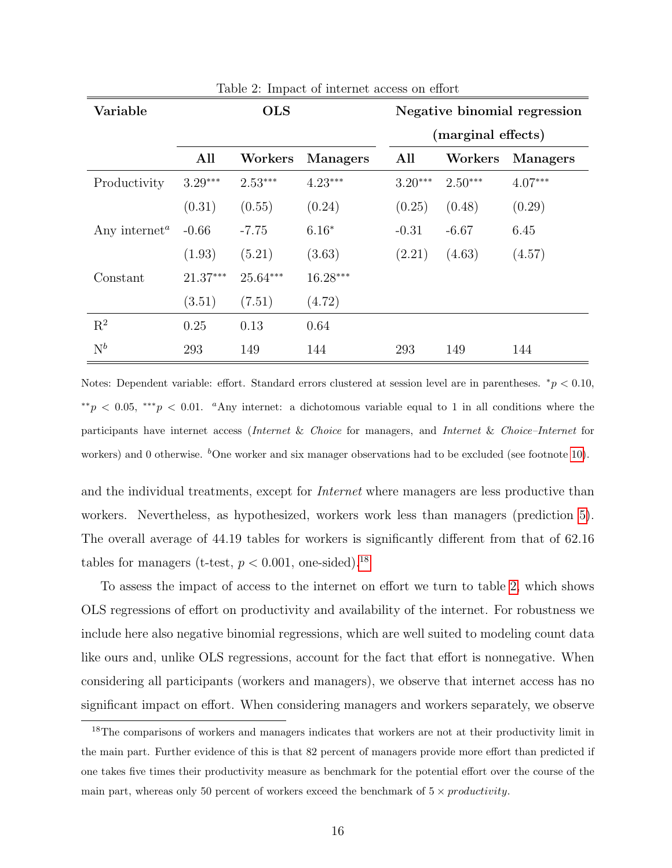| Variable                               |            | <b>OLS</b> |                 |           |                    | Negative binomial regression |
|----------------------------------------|------------|------------|-----------------|-----------|--------------------|------------------------------|
|                                        |            |            |                 |           | (marginal effects) |                              |
|                                        | All        | Workers    | <b>Managers</b> | All       | Workers            | <b>Managers</b>              |
| Productivity                           | $3.29***$  | $2.53***$  | $4.23***$       | $3.20***$ | $2.50***$          | $4.07***$                    |
|                                        | (0.31)     | (0.55)     | (0.24)          | (0.25)    | (0.48)             | (0.29)                       |
| Any internet <sup><math>a</math></sup> | $-0.66$    | $-7.75$    | $6.16*$         | $-0.31$   | $-6.67$            | 6.45                         |
|                                        | (1.93)     | (5.21)     | (3.63)          | (2.21)    | (4.63)             | (4.57)                       |
| Constant                               | $21.37***$ | $25.64***$ | $16.28***$      |           |                    |                              |
|                                        | (3.51)     | (7.51)     | (4.72)          |           |                    |                              |
| $\mathbf{R}^2$                         | 0.25       | 0.13       | 0.64            |           |                    |                              |
| $\mathrm{N}^b$                         | 293        | 149        | 144             | 293       | 149                | 144                          |

<span id="page-17-1"></span>Table 2: Impact of internet access on effort

Notes: Dependent variable: effort. Standard errors clustered at session level are in parentheses.  $*_p$  < 0.10,  $*p < 0.05$ ,  $**p < 0.01$ . <sup>a</sup>Any internet: a dichotomous variable equal to 1 in all conditions where the participants have internet access (Internet & Choice for managers, and Internet & Choice–Internet for workers) and 0 otherwise.  ${}^b$ One worker and six manager observations had to be excluded (see footnote [10\)](#page-9-2).

and the individual treatments, except for *Internet* where managers are less productive than workers. Nevertheless, as hypothesized, workers work less than managers (prediction [5\)](#page-16-1). The overall average of 44.19 tables for workers is significantly different from that of 62.16 tables for managers (t-test,  $p < 0.001$ , one-sided).<sup>[18](#page-17-0)</sup>

To assess the impact of access to the internet on effort we turn to table [2,](#page-17-1) which shows OLS regressions of effort on productivity and availability of the internet. For robustness we include here also negative binomial regressions, which are well suited to modeling count data like ours and, unlike OLS regressions, account for the fact that effort is nonnegative. When considering all participants (workers and managers), we observe that internet access has no significant impact on effort. When considering managers and workers separately, we observe

<span id="page-17-0"></span><sup>&</sup>lt;sup>18</sup>The comparisons of workers and managers indicates that workers are not at their productivity limit in the main part. Further evidence of this is that 82 percent of managers provide more effort than predicted if one takes five times their productivity measure as benchmark for the potential effort over the course of the main part, whereas only 50 percent of workers exceed the benchmark of  $5 \times productivity$ .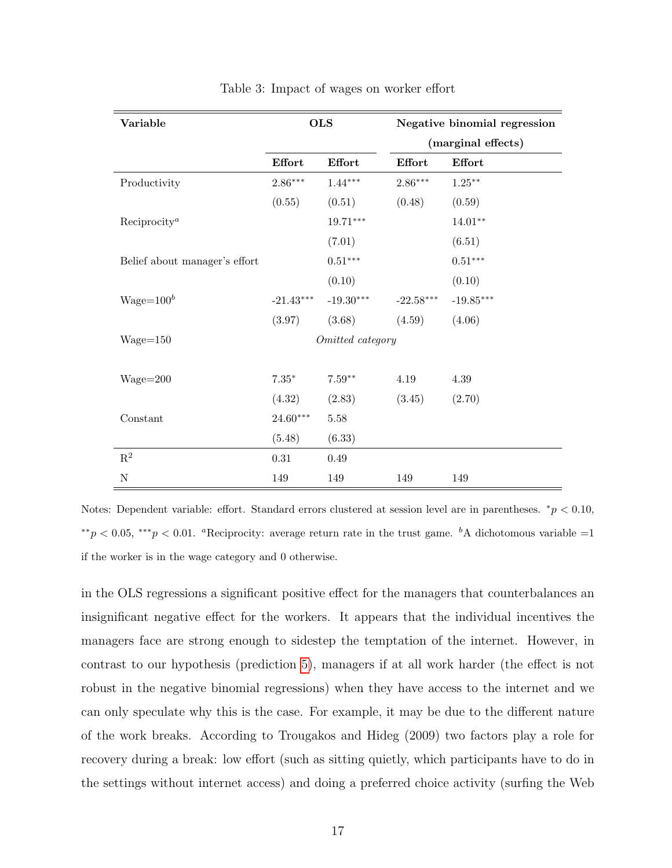| Variable                      | <b>OLS</b>  |                  | Negative binomial regression |             |  |  |
|-------------------------------|-------------|------------------|------------------------------|-------------|--|--|
|                               |             |                  | (marginal effects)           |             |  |  |
|                               | Effort      | Effort           | <b>Effort</b>                | Effort      |  |  |
| Productivity                  | $2.86***$   | $1.44***$        | $2.86***$                    | $1.25***$   |  |  |
|                               | (0.55)      | (0.51)           | (0.48)                       | (0.59)      |  |  |
| Reciprocity <sup>a</sup>      |             | $19.71***$       |                              | $14.01**$   |  |  |
|                               |             | (7.01)           |                              | (6.51)      |  |  |
| Belief about manager's effort |             | $0.51***$        |                              | $0.51***$   |  |  |
|                               |             | (0.10)           |                              | (0.10)      |  |  |
| $Wage = 100b$                 | $-21.43***$ | $-19.30***$      | $-22.58***$                  | $-19.85***$ |  |  |
|                               | (3.97)      | (3.68)           | (4.59)                       | (4.06)      |  |  |
| $Wage = 150$                  |             | Omitted category |                              |             |  |  |
|                               |             |                  |                              |             |  |  |
| $Wage = 200$                  | $7.35^\ast$ | $7.59**$         | 4.19                         | 4.39        |  |  |
|                               | (4.32)      | (2.83)           | (3.45)                       | (2.70)      |  |  |
| Constant                      | $24.60***$  | $5.58\,$         |                              |             |  |  |
|                               | (5.48)      | (6.33)           |                              |             |  |  |
| $\mathbf{R}^2$                | $0.31\,$    | 0.49             |                              |             |  |  |
| $\mathbf N$                   | 149         | 149              | 149                          | 149         |  |  |

<span id="page-18-0"></span>Table 3: Impact of wages on worker effort

Notes: Dependent variable: effort. Standard errors clustered at session level are in parentheses.  $*_p$  < 0.10,  $* p < 0.05$ ,  $* * p < 0.01$ . <sup>a</sup>Reciprocity: average return rate in the trust game. <sup>b</sup>A dichotomous variable =1 if the worker is in the wage category and 0 otherwise.

in the OLS regressions a significant positive effect for the managers that counterbalances an insignificant negative effect for the workers. It appears that the individual incentives the managers face are strong enough to sidestep the temptation of the internet. However, in contrast to our hypothesis (prediction [5\)](#page-16-1), managers if at all work harder (the effect is not robust in the negative binomial regressions) when they have access to the internet and we can only speculate why this is the case. For example, it may be due to the different nature of the work breaks. According to Trougakos and Hideg (2009) two factors play a role for recovery during a break: low effort (such as sitting quietly, which participants have to do in the settings without internet access) and doing a preferred choice activity (surfing the Web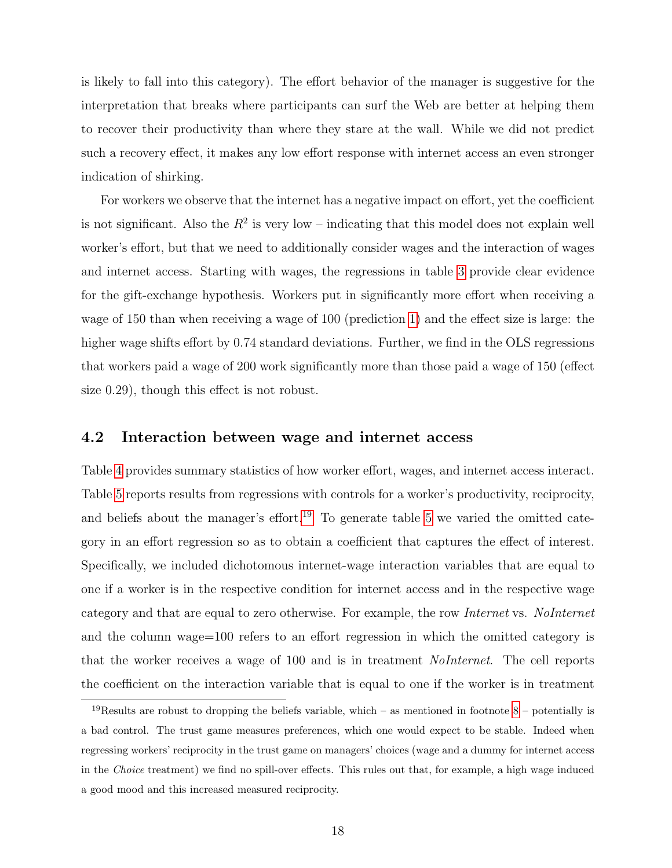is likely to fall into this category). The effort behavior of the manager is suggestive for the interpretation that breaks where participants can surf the Web are better at helping them to recover their productivity than where they stare at the wall. While we did not predict such a recovery effect, it makes any low effort response with internet access an even stronger indication of shirking.

For workers we observe that the internet has a negative impact on effort, yet the coefficient is not significant. Also the  $R^2$  is very low – indicating that this model does not explain well worker's effort, but that we need to additionally consider wages and the interaction of wages and internet access. Starting with wages, the regressions in table [3](#page-18-0) provide clear evidence for the gift-exchange hypothesis. Workers put in significantly more effort when receiving a wage of 150 than when receiving a wage of 100 (prediction [1\)](#page-11-3) and the effect size is large: the higher wage shifts effort by 0.74 standard deviations. Further, we find in the OLS regressions that workers paid a wage of 200 work significantly more than those paid a wage of 150 (effect size 0.29), though this effect is not robust.

#### 4.2 Interaction between wage and internet access

Table [4](#page-20-0) provides summary statistics of how worker effort, wages, and internet access interact. Table [5](#page-21-0) reports results from regressions with controls for a worker's productivity, reciprocity, and beliefs about the manager's effort.<sup>[19](#page-19-0)</sup> To generate table [5](#page-21-0) we varied the omitted category in an effort regression so as to obtain a coefficient that captures the effect of interest. Specifically, we included dichotomous internet-wage interaction variables that are equal to one if a worker is in the respective condition for internet access and in the respective wage category and that are equal to zero otherwise. For example, the row *Internet* vs. NoInternet and the column wage=100 refers to an effort regression in which the omitted category is that the worker receives a wage of 100 and is in treatment *NoInternet*. The cell reports the coefficient on the interaction variable that is equal to one if the worker is in treatment

<span id="page-19-0"></span><sup>&</sup>lt;sup>19</sup>Results are robust to dropping the beliefs variable, which – as mentioned in footnote  $8$  – potentially is a bad control. The trust game measures preferences, which one would expect to be stable. Indeed when regressing workers' reciprocity in the trust game on managers' choices (wage and a dummy for internet access in the Choice treatment) we find no spill-over effects. This rules out that, for example, a high wage induced a good mood and this increased measured reciprocity.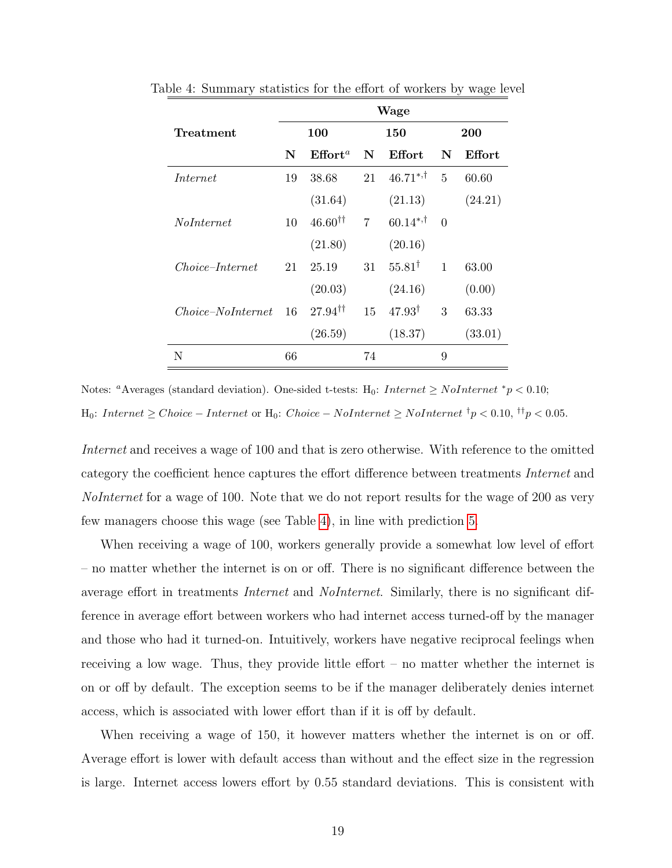<span id="page-20-0"></span>

|                        | Wage       |                          |                |                   |              |               |  |
|------------------------|------------|--------------------------|----------------|-------------------|--------------|---------------|--|
| Treatment              | <b>100</b> |                          | 150            |                   | <b>200</b>   |               |  |
|                        | N          | Effort <sup>a</sup>      | N              | <b>Effort</b>     | N            | <b>Effort</b> |  |
| Internet               | 19         | 38.68                    | 21             | $46.71^{*,+}$     | 5            | 60.60         |  |
|                        |            | (31.64)                  |                | (21.13)           |              | (24.21)       |  |
| <i>NoInternet</i>      | 10         | $46.60^{\dagger\dagger}$ | $\overline{7}$ | $60.14^{*,+}$     | $\Omega$     |               |  |
|                        |            | (21.80)                  |                | (20.16)           |              |               |  |
| <i>Choice–Internet</i> | 21         | 25.19                    | 31             | $55.81^{\dagger}$ | $\mathbf{1}$ | 63.00         |  |
|                        |            | (20.03)                  |                | (24.16)           |              | (0.00)        |  |
| $Choice-Nolnternet$    | 16         | $27.94^{\dagger\dagger}$ | 15             | $47.93^{\dagger}$ | 3            | 63.33         |  |
|                        |            | (26.59)                  |                | (18.37)           |              | (33.01)       |  |
| N                      | 66         |                          | 74             |                   | 9            |               |  |

Table 4: Summary statistics for the effort of workers by wage level

Notes: <sup>a</sup>Averages (standard deviation). One-sided t-tests: H<sub>0</sub>: Internet ≥ NoInternet \*p < 0.10; H<sub>0</sub>: *Internet* ≥ *Choice* – *Internet* or H<sub>0</sub>: *Choice* – *NoInternet* ≥ *NoInternet*<sup>†</sup> $p$  < 0.10,<sup>††</sup> $p$ </sup> < 0.05.

Internet and receives a wage of 100 and that is zero otherwise. With reference to the omitted category the coefficient hence captures the effort difference between treatments Internet and NoInternet for a wage of 100. Note that we do not report results for the wage of 200 as very few managers choose this wage (see Table [4\)](#page-20-0), in line with prediction [5.](#page-16-1)

When receiving a wage of 100, workers generally provide a somewhat low level of effort – no matter whether the internet is on or off. There is no significant difference between the average effort in treatments *Internet* and *NoInternet*. Similarly, there is no significant difference in average effort between workers who had internet access turned-off by the manager and those who had it turned-on. Intuitively, workers have negative reciprocal feelings when receiving a low wage. Thus, they provide little effort – no matter whether the internet is on or off by default. The exception seems to be if the manager deliberately denies internet access, which is associated with lower effort than if it is off by default.

When receiving a wage of 150, it however matters whether the internet is on or off. Average effort is lower with default access than without and the effect size in the regression is large. Internet access lowers effort by 0.55 standard deviations. This is consistent with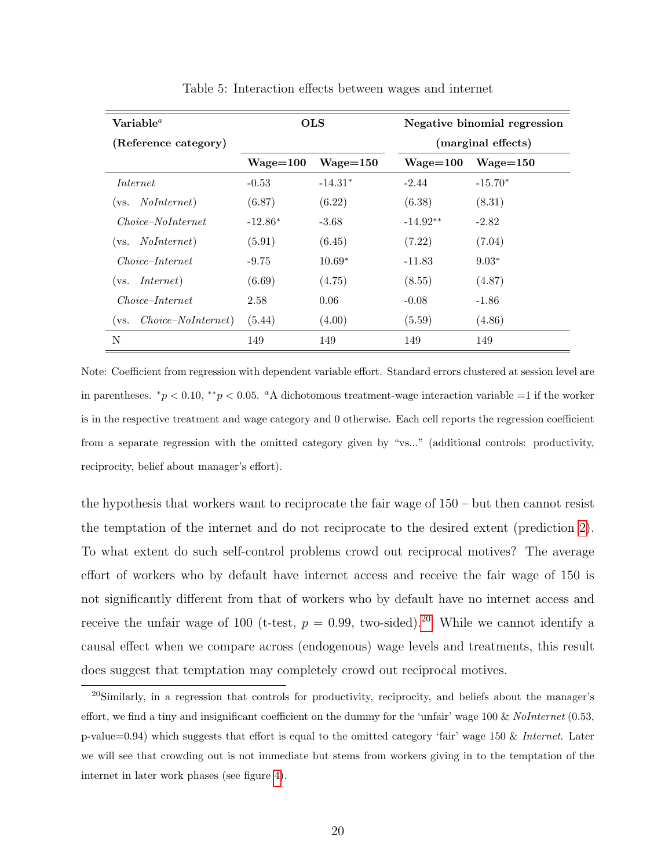| $\textbf{Variable}^a$        | <b>OLS</b>   |              | Negative binomial regression |              |  |
|------------------------------|--------------|--------------|------------------------------|--------------|--|
| (Reference category)         |              |              | (marginal effects)           |              |  |
|                              | $Wage = 100$ | $Wage = 150$ | $Wage = 100$                 | $Wage = 150$ |  |
| Internet                     | $-0.53$      | $-14.31*$    | $-2.44$                      | $-15.70*$    |  |
| <i>NoInternet</i> )<br>(vs.  | (6.87)       | (6.22)       | (6.38)                       | (8.31)       |  |
| <i>Choice-NoInternet</i>     | $-12.86*$    | $-3.68$      | $-14.92**$                   | $-2.82$      |  |
| <i>NoInternet</i> )<br>(vs.  | (5.91)       | (6.45)       | (7.22)                       | (7.04)       |  |
| <i>Choice-Internet</i>       | $-9.75$      | $10.69*$     | $-11.83$                     | $9.03*$      |  |
| <i>Internet</i> )<br>(vs.    | (6.69)       | (4.75)       | (8.55)                       | (4.87)       |  |
| <i>Choice-Internet</i>       | 2.58         | 0.06         | $-0.08$                      | $-1.86$      |  |
| $Choice-Nolnternet)$<br>(vs. | (5.44)       | (4.00)       | (5.59)                       | (4.86)       |  |
| N                            | 149          | 149          | 149                          | 149          |  |

<span id="page-21-0"></span>Table 5: Interaction effects between wages and internet

Note: Coefficient from regression with dependent variable effort. Standard errors clustered at session level are in parentheses.  $*_p$  < 0.10,  $*_p$  < 0.05. aA dichotomous treatment-wage interaction variable =1 if the worker is in the respective treatment and wage category and 0 otherwise. Each cell reports the regression coefficient from a separate regression with the omitted category given by "vs..." (additional controls: productivity, reciprocity, belief about manager's effort).

the hypothesis that workers want to reciprocate the fair wage of  $150 -$  but then cannot resist the temptation of the internet and do not reciprocate to the desired extent (prediction [2\)](#page-13-1). To what extent do such self-control problems crowd out reciprocal motives? The average effort of workers who by default have internet access and receive the fair wage of 150 is not significantly different from that of workers who by default have no internet access and receive the unfair wage of 100 (t-test,  $p = 0.99$ , two-sided).<sup>[20](#page-21-1)</sup> While we cannot identify a causal effect when we compare across (endogenous) wage levels and treatments, this result does suggest that temptation may completely crowd out reciprocal motives.

<span id="page-21-1"></span><sup>&</sup>lt;sup>20</sup>Similarly, in a regression that controls for productivity, reciprocity, and beliefs about the manager's effort, we find a tiny and insignificant coefficient on the dummy for the 'unfair' wage  $100 \& \text{ Nolnternet } (0.53,$ p-value=0.94) which suggests that effort is equal to the omitted category 'fair' wage 150 & Internet. Later we will see that crowding out is not immediate but stems from workers giving in to the temptation of the internet in later work phases (see figure [4\)](#page-26-0).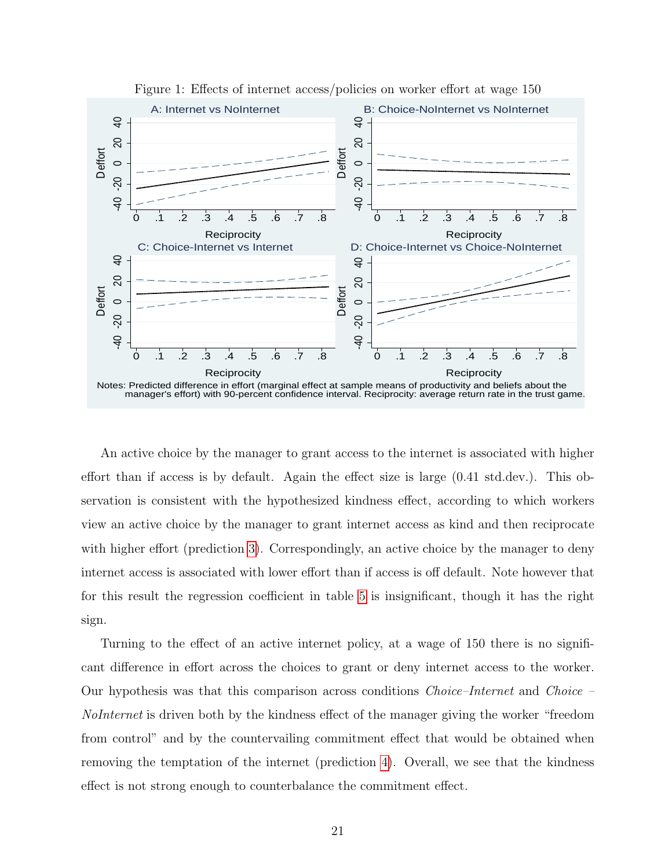

<span id="page-22-0"></span>Figure 1: Effects of internet access/policies on worker effort at wage 150

An active choice by the manager to grant access to the internet is associated with higher effort than if access is by default. Again the effect size is large (0.41 std.dev.). This observation is consistent with the hypothesized kindness effect, according to which workers view an active choice by the manager to grant internet access as kind and then reciprocate with higher effort (prediction [3\)](#page-14-1). Correspondingly, an active choice by the manager to deny internet access is associated with lower effort than if access is off default. Note however that for this result the regression coefficient in table [5](#page-21-0) is insignificant, though it has the right sign.

Turning to the effect of an active internet policy, at a wage of 150 there is no significant difference in effort across the choices to grant or deny internet access to the worker. Our hypothesis was that this comparison across conditions Choice–Internet and Choice – NoInternet is driven both by the kindness effect of the manager giving the worker "freedom from control" and by the countervailing commitment effect that would be obtained when removing the temptation of the internet (prediction [4\)](#page-15-0). Overall, we see that the kindness effect is not strong enough to counterbalance the commitment effect.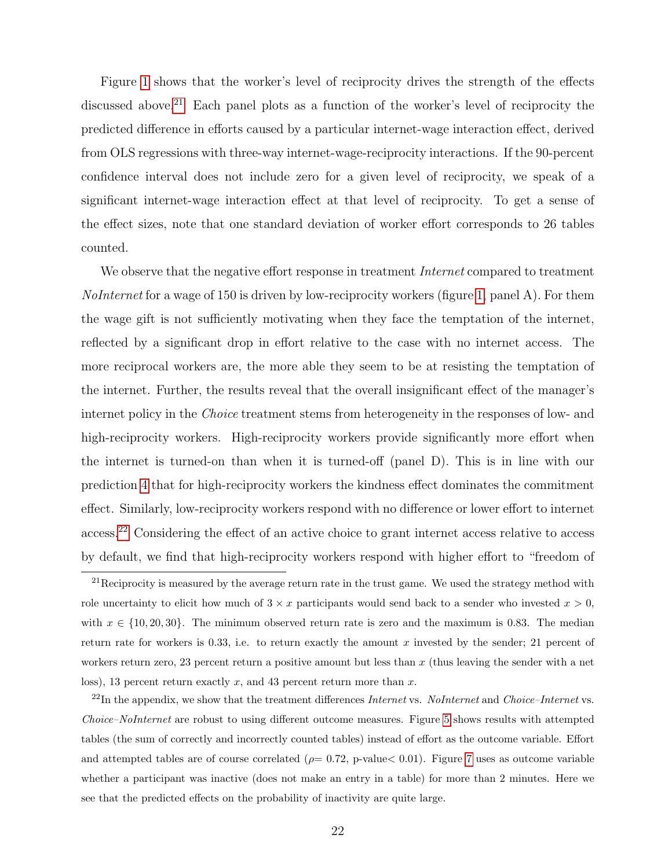Figure [1](#page-22-0) shows that the worker's level of reciprocity drives the strength of the effects discussed above.<sup>[21](#page-23-0)</sup> Each panel plots as a function of the worker's level of reciprocity the predicted difference in efforts caused by a particular internet-wage interaction effect, derived from OLS regressions with three-way internet-wage-reciprocity interactions. If the 90-percent confidence interval does not include zero for a given level of reciprocity, we speak of a significant internet-wage interaction effect at that level of reciprocity. To get a sense of the effect sizes, note that one standard deviation of worker effort corresponds to 26 tables counted.

We observe that the negative effort response in treatment *Internet* compared to treatment *NoInternet* for a wage of 150 is driven by low-reciprocity workers (figure [1,](#page-22-0) panel A). For them the wage gift is not sufficiently motivating when they face the temptation of the internet, reflected by a significant drop in effort relative to the case with no internet access. The more reciprocal workers are, the more able they seem to be at resisting the temptation of the internet. Further, the results reveal that the overall insignificant effect of the manager's internet policy in the *Choice* treatment stems from heterogeneity in the responses of low- and high-reciprocity workers. High-reciprocity workers provide significantly more effort when the internet is turned-on than when it is turned-off (panel D). This is in line with our prediction [4](#page-15-0) that for high-reciprocity workers the kindness effect dominates the commitment effect. Similarly, low-reciprocity workers respond with no difference or lower effort to internet access.[22](#page-23-1) Considering the effect of an active choice to grant internet access relative to access by default, we find that high-reciprocity workers respond with higher effort to "freedom of

<span id="page-23-0"></span> $21$ Reciprocity is measured by the average return rate in the trust game. We used the strategy method with role uncertainty to elicit how much of  $3 \times x$  participants would send back to a sender who invested  $x > 0$ , with  $x \in \{10, 20, 30\}$ . The minimum observed return rate is zero and the maximum is 0.83. The median return rate for workers is 0.33, i.e. to return exactly the amount x invested by the sender; 21 percent of workers return zero, 23 percent return a positive amount but less than x (thus leaving the sender with a net loss), 13 percent return exactly x, and 43 percent return more than  $x$ .

<span id="page-23-1"></span> $^{22}$ In the appendix, we show that the treatment differences Internet vs. NoInternet and Choice–Internet vs. Choice–NoInternet are robust to using different outcome measures. Figure [5](#page-39-0) shows results with attempted tables (the sum of correctly and incorrectly counted tables) instead of effort as the outcome variable. Effort and attempted tables are of course correlated ( $\rho$ = 0.72, p-value < 0.01). Figure [7](#page-40-0) uses as outcome variable whether a participant was inactive (does not make an entry in a table) for more than 2 minutes. Here we see that the predicted effects on the probability of inactivity are quite large.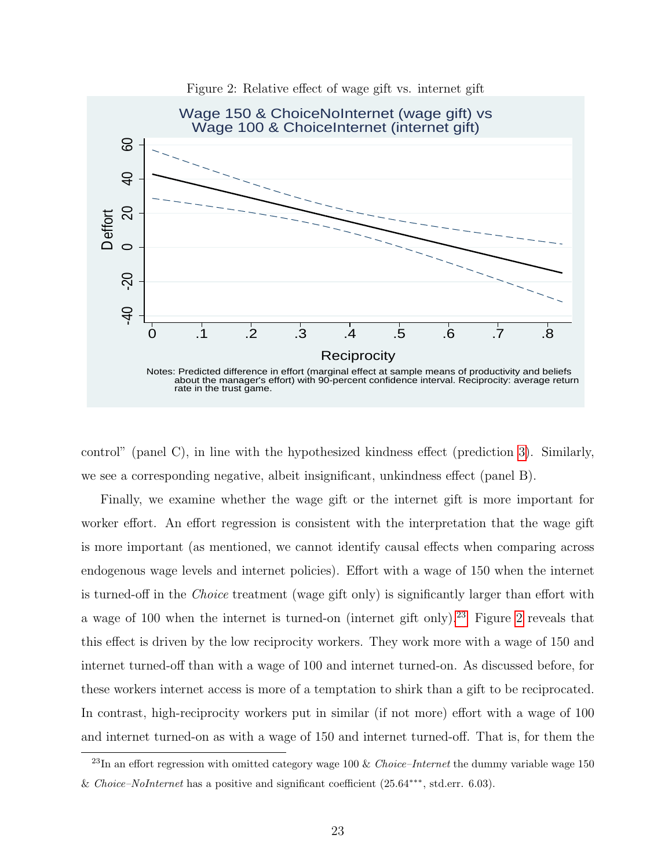

<span id="page-24-1"></span>Figure 2: Relative effect of wage gift vs. internet gift

control" (panel C), in line with the hypothesized kindness effect (prediction [3\)](#page-14-1). Similarly, we see a corresponding negative, albeit insignificant, unkindness effect (panel B).

Finally, we examine whether the wage gift or the internet gift is more important for worker effort. An effort regression is consistent with the interpretation that the wage gift is more important (as mentioned, we cannot identify causal effects when comparing across endogenous wage levels and internet policies). Effort with a wage of 150 when the internet is turned-off in the Choice treatment (wage gift only) is significantly larger than effort with a wage of 100 when the internet is turned-on (internet gift only).<sup>[23](#page-24-0)</sup> Figure [2](#page-24-1) reveals that this effect is driven by the low reciprocity workers. They work more with a wage of 150 and internet turned-off than with a wage of 100 and internet turned-on. As discussed before, for these workers internet access is more of a temptation to shirk than a gift to be reciprocated. In contrast, high-reciprocity workers put in similar (if not more) effort with a wage of 100 and internet turned-on as with a wage of 150 and internet turned-off. That is, for them the

<span id="page-24-0"></span> $^{23}$ In an effort regression with omitted category wage 100 & Choice–Internet the dummy variable wage 150 & Choice–NoInternet has a positive and significant coefficient (25.64∗∗∗, std.err. 6.03).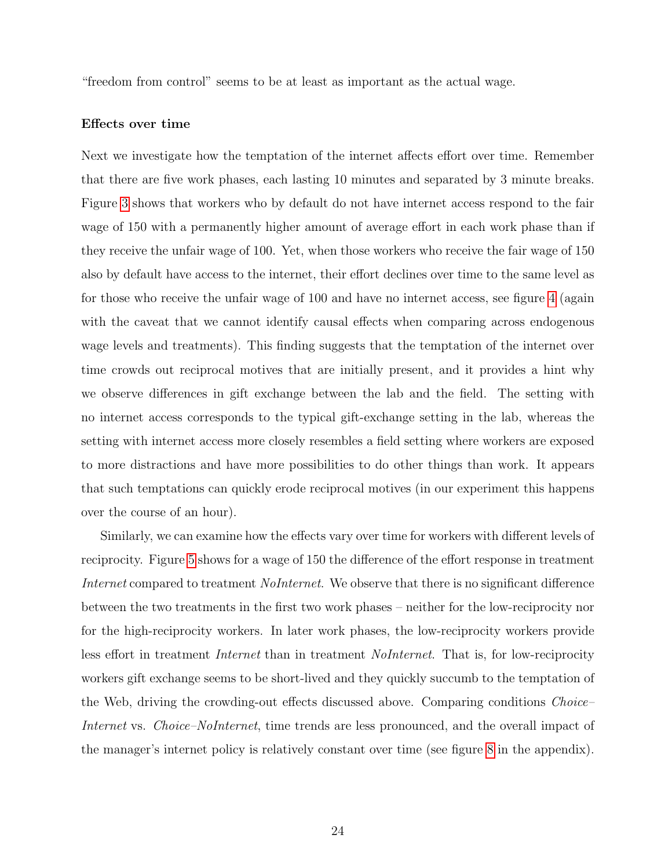"freedom from control" seems to be at least as important as the actual wage.

#### Effects over time

Next we investigate how the temptation of the internet affects effort over time. Remember that there are five work phases, each lasting 10 minutes and separated by 3 minute breaks. Figure [3](#page-26-1) shows that workers who by default do not have internet access respond to the fair wage of 150 with a permanently higher amount of average effort in each work phase than if they receive the unfair wage of 100. Yet, when those workers who receive the fair wage of 150 also by default have access to the internet, their effort declines over time to the same level as for those who receive the unfair wage of 100 and have no internet access, see figure [4](#page-26-0) (again with the caveat that we cannot identify causal effects when comparing across endogenous wage levels and treatments). This finding suggests that the temptation of the internet over time crowds out reciprocal motives that are initially present, and it provides a hint why we observe differences in gift exchange between the lab and the field. The setting with no internet access corresponds to the typical gift-exchange setting in the lab, whereas the setting with internet access more closely resembles a field setting where workers are exposed to more distractions and have more possibilities to do other things than work. It appears that such temptations can quickly erode reciprocal motives (in our experiment this happens over the course of an hour).

Similarly, we can examine how the effects vary over time for workers with different levels of reciprocity. Figure [5](#page-27-0) shows for a wage of 150 the difference of the effort response in treatment Internet compared to treatment *NoInternet*. We observe that there is no significant difference between the two treatments in the first two work phases – neither for the low-reciprocity nor for the high-reciprocity workers. In later work phases, the low-reciprocity workers provide less effort in treatment *Internet* than in treatment *NoInternet*. That is, for low-reciprocity workers gift exchange seems to be short-lived and they quickly succumb to the temptation of the Web, driving the crowding-out effects discussed above. Comparing conditions *Choice*– Internet vs. Choice–NoInternet, time trends are less pronounced, and the overall impact of the manager's internet policy is relatively constant over time (see figure [8](#page-41-0) in the appendix).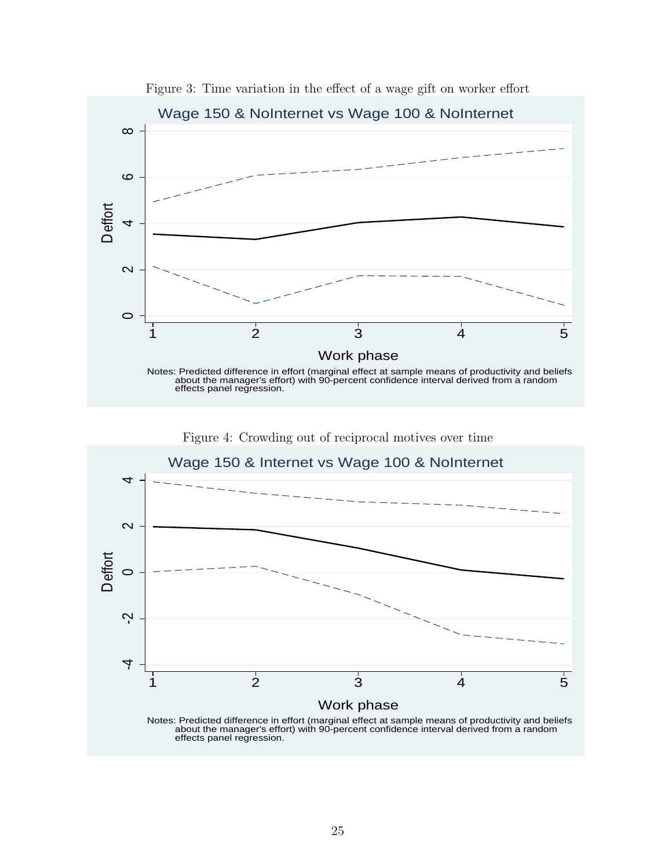

<span id="page-26-1"></span>Figure 3: Time variation in the effect of a wage gift on worker effort



<span id="page-26-0"></span>Figure 4: Crowding out of reciprocal motives over time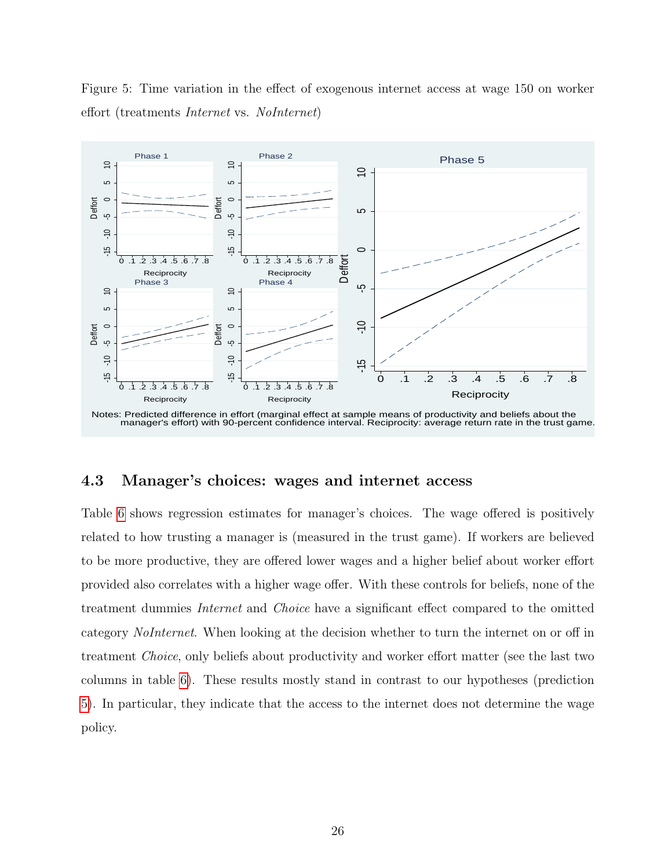<span id="page-27-0"></span>Figure 5: Time variation in the effect of exogenous internet access at wage 150 on worker effort (treatments Internet vs. NoInternet)



#### 4.3 Manager's choices: wages and internet access

Table [6](#page-28-0) shows regression estimates for manager's choices. The wage offered is positively related to how trusting a manager is (measured in the trust game). If workers are believed to be more productive, they are offered lower wages and a higher belief about worker effort provided also correlates with a higher wage offer. With these controls for beliefs, none of the treatment dummies Internet and Choice have a significant effect compared to the omitted category NoInternet. When looking at the decision whether to turn the internet on or off in treatment Choice, only beliefs about productivity and worker effort matter (see the last two columns in table [6\)](#page-28-0). These results mostly stand in contrast to our hypotheses (prediction [5\)](#page-16-1). In particular, they indicate that the access to the internet does not determine the wage policy.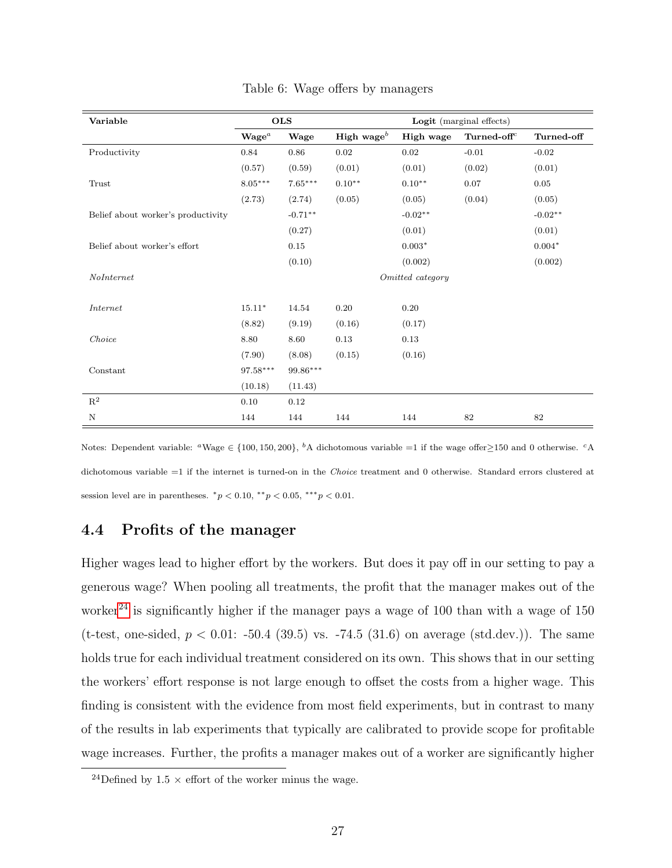| Variable                           |                   | <b>OLS</b> |                        |                  | Logit (marginal effects) |            |
|------------------------------------|-------------------|------------|------------------------|------------------|--------------------------|------------|
|                                    | $\mathbf{Wage}^a$ | Wage       | High wage <sup>b</sup> | High wage        | Turned-off <sup>c</sup>  | Turned-off |
| Productivity                       | 0.84              | 0.86       | 0.02                   | $0.02\,$         | $-0.01$                  | $-0.02$    |
|                                    | (0.57)            | (0.59)     | (0.01)                 | (0.01)           | (0.02)                   | (0.01)     |
| Trust                              | $8.05***$         | $7.65***$  | $0.10**$               | $0.10**$         | 0.07                     | 0.05       |
|                                    | (2.73)            | (2.74)     | (0.05)                 | (0.05)           | (0.04)                   | (0.05)     |
| Belief about worker's productivity |                   | $-0.71**$  |                        | $-0.02**$        |                          | $-0.02**$  |
|                                    |                   | (0.27)     |                        | (0.01)           |                          | (0.01)     |
| Belief about worker's effort       |                   | 0.15       |                        | $0.003*$         |                          | $0.004*$   |
|                                    |                   | (0.10)     |                        | (0.002)          |                          | (0.002)    |
| NoInternet                         |                   |            |                        | Omitted category |                          |            |
|                                    |                   |            |                        |                  |                          |            |
| Internet                           | $15.11*$          | 14.54      | 0.20                   | 0.20             |                          |            |
|                                    | (8.82)            | (9.19)     | (0.16)                 | (0.17)           |                          |            |
| Choice                             | 8.80              | 8.60       | 0.13                   | 0.13             |                          |            |
|                                    | (7.90)            | (8.08)     | (0.15)                 | (0.16)           |                          |            |
| Constant                           | $97.58***$        | 99.86***   |                        |                  |                          |            |
|                                    | (10.18)           | (11.43)    |                        |                  |                          |            |
| $\mathbf{R}^2$                     | 0.10              | 0.12       |                        |                  |                          |            |
| N                                  | 144               | 144        | 144                    | 144              | 82                       | 82         |

<span id="page-28-0"></span>Table 6: Wage offers by managers

Notes: Dependent variable: <sup>a</sup>Wage  $\in \{100, 150, 200\}$ , <sup>b</sup>A dichotomous variable =1 if the wage offer ≥150 and 0 otherwise. <sup>c</sup>A dichotomous variable =1 if the internet is turned-on in the Choice treatment and 0 otherwise. Standard errors clustered at session level are in parentheses.  ${}^*p$  < 0.10,  ${}^{**}p$  < 0.05,  ${}^{***}p$  < 0.01.

### 4.4 Profits of the manager

Higher wages lead to higher effort by the workers. But does it pay off in our setting to pay a generous wage? When pooling all treatments, the profit that the manager makes out of the worker<sup>[24](#page-28-1)</sup> is significantly higher if the manager pays a wage of 100 than with a wage of  $150$ (t-test, one-sided,  $p < 0.01$ : -50.4 (39.5) vs. -74.5 (31.6) on average (std.dev.)). The same holds true for each individual treatment considered on its own. This shows that in our setting the workers' effort response is not large enough to offset the costs from a higher wage. This finding is consistent with the evidence from most field experiments, but in contrast to many of the results in lab experiments that typically are calibrated to provide scope for profitable wage increases. Further, the profits a manager makes out of a worker are significantly higher

<span id="page-28-1"></span><sup>&</sup>lt;sup>24</sup>Defined by 1.5  $\times$  effort of the worker minus the wage.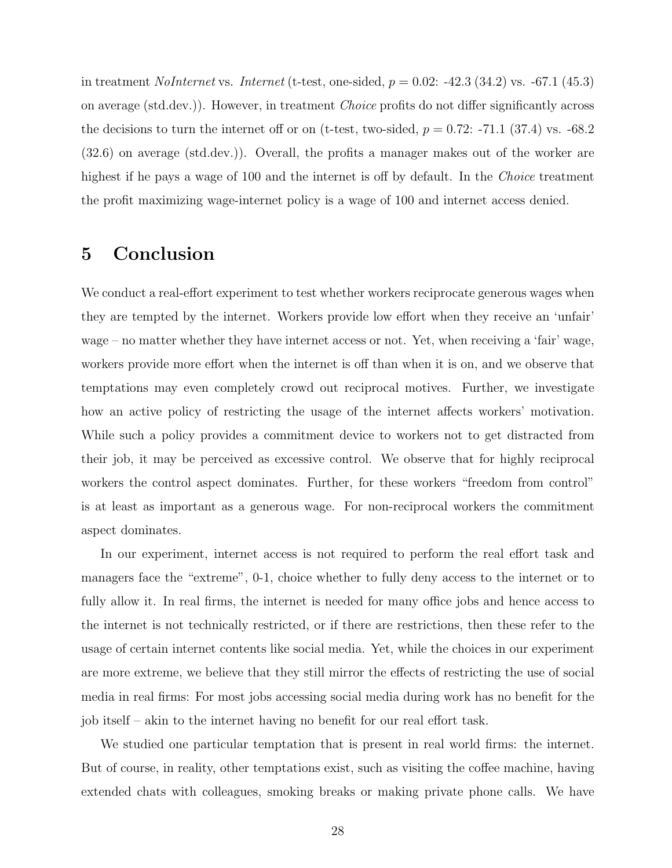in treatment *NoInternet* vs. *Internet* (t-test, one-sided,  $p = 0.02$ : -42.3 (34.2) vs. -67.1 (45.3) on average (std.dev.)). However, in treatment Choice profits do not differ significantly across the decisions to turn the internet off or on (t-test, two-sided,  $p = 0.72$ : -71.1 (37.4) vs. -68.2 (32.6) on average (std.dev.)). Overall, the profits a manager makes out of the worker are highest if he pays a wage of 100 and the internet is off by default. In the *Choice* treatment the profit maximizing wage-internet policy is a wage of 100 and internet access denied.

# 5 Conclusion

We conduct a real-effort experiment to test whether workers reciprocate generous wages when they are tempted by the internet. Workers provide low effort when they receive an 'unfair' wage – no matter whether they have internet access or not. Yet, when receiving a 'fair' wage, workers provide more effort when the internet is off than when it is on, and we observe that temptations may even completely crowd out reciprocal motives. Further, we investigate how an active policy of restricting the usage of the internet affects workers' motivation. While such a policy provides a commitment device to workers not to get distracted from their job, it may be perceived as excessive control. We observe that for highly reciprocal workers the control aspect dominates. Further, for these workers "freedom from control" is at least as important as a generous wage. For non-reciprocal workers the commitment aspect dominates.

In our experiment, internet access is not required to perform the real effort task and managers face the "extreme", 0-1, choice whether to fully deny access to the internet or to fully allow it. In real firms, the internet is needed for many office jobs and hence access to the internet is not technically restricted, or if there are restrictions, then these refer to the usage of certain internet contents like social media. Yet, while the choices in our experiment are more extreme, we believe that they still mirror the effects of restricting the use of social media in real firms: For most jobs accessing social media during work has no benefit for the job itself – akin to the internet having no benefit for our real effort task.

We studied one particular temptation that is present in real world firms: the internet. But of course, in reality, other temptations exist, such as visiting the coffee machine, having extended chats with colleagues, smoking breaks or making private phone calls. We have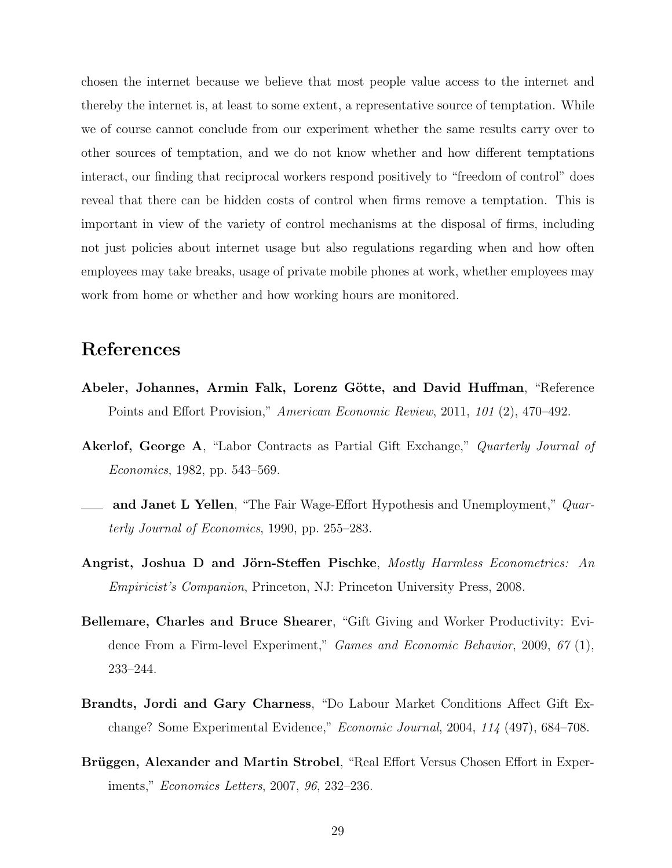chosen the internet because we believe that most people value access to the internet and thereby the internet is, at least to some extent, a representative source of temptation. While we of course cannot conclude from our experiment whether the same results carry over to other sources of temptation, and we do not know whether and how different temptations interact, our finding that reciprocal workers respond positively to "freedom of control" does reveal that there can be hidden costs of control when firms remove a temptation. This is important in view of the variety of control mechanisms at the disposal of firms, including not just policies about internet usage but also regulations regarding when and how often employees may take breaks, usage of private mobile phones at work, whether employees may work from home or whether and how working hours are monitored.

## References

- Abeler, Johannes, Armin Falk, Lorenz Götte, and David Huffman, "Reference Points and Effort Provision," American Economic Review, 2011, 101 (2), 470–492.
- Akerlof, George A, "Labor Contracts as Partial Gift Exchange," Quarterly Journal of Economics, 1982, pp. 543–569.
- and Janet L Yellen, "The Fair Wage-Effort Hypothesis and Unemployment," Quarterly Journal of Economics, 1990, pp. 255–283.
- Angrist, Joshua D and Jörn-Steffen Pischke, Mostly Harmless Econometrics: An Empiricist's Companion, Princeton, NJ: Princeton University Press, 2008.
- Bellemare, Charles and Bruce Shearer, "Gift Giving and Worker Productivity: Evidence From a Firm-level Experiment," Games and Economic Behavior, 2009, 67 (1), 233–244.
- Brandts, Jordi and Gary Charness, "Do Labour Market Conditions Affect Gift Exchange? Some Experimental Evidence," Economic Journal, 2004, 114 (497), 684–708.
- Brüggen, Alexander and Martin Strobel, "Real Effort Versus Chosen Effort in Experiments," Economics Letters, 2007, 96, 232–236.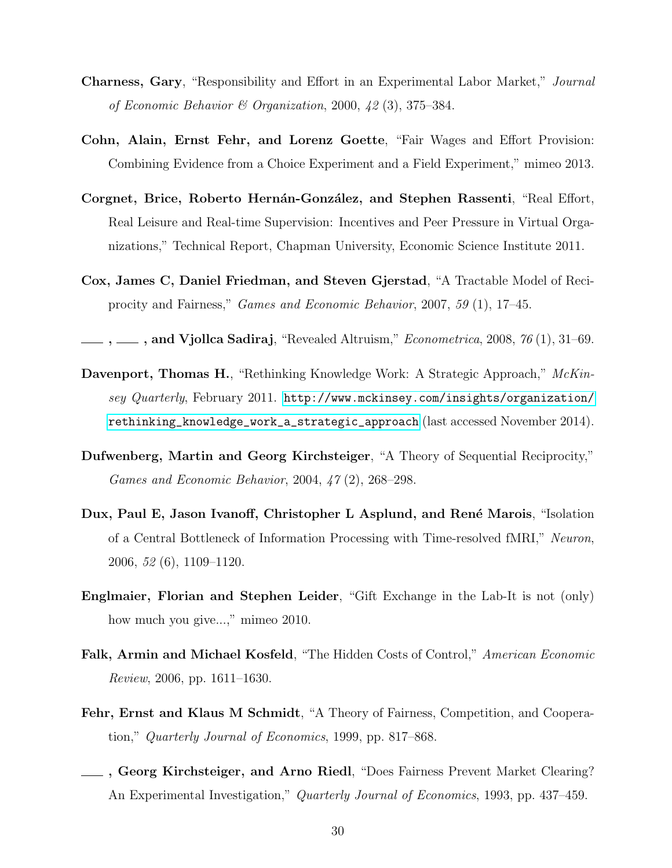- Charness, Gary, "Responsibility and Effort in an Experimental Labor Market," Journal of Economic Behavior & Organization, 2000,  $\{2\}(3), 375-384$ .
- Cohn, Alain, Ernst Fehr, and Lorenz Goette, "Fair Wages and Effort Provision: Combining Evidence from a Choice Experiment and a Field Experiment," mimeo 2013.
- Corgnet, Brice, Roberto Hernán-González, and Stephen Rassenti, "Real Effort, Real Leisure and Real-time Supervision: Incentives and Peer Pressure in Virtual Organizations," Technical Report, Chapman University, Economic Science Institute 2011.
- Cox, James C, Daniel Friedman, and Steven Gjerstad, "A Tractable Model of Reciprocity and Fairness," Games and Economic Behavior, 2007, 59 (1), 17–45.

, , , , and Vjollca Sadiraj, "Revealed Altruism," *Econometrica*, 2008, 76(1), 31-69.

- Davenport, Thomas H., "Rethinking Knowledge Work: A Strategic Approach," McKinsey Quarterly, February 2011. [http://www.mckinsey.com/insights/organization/](http://www.mckinsey.com/insights/organization/rethinking_knowledge_work_a_strategic_approach) [rethinking\\_knowledge\\_work\\_a\\_strategic\\_approach](http://www.mckinsey.com/insights/organization/rethinking_knowledge_work_a_strategic_approach) (last accessed November 2014).
- Dufwenberg, Martin and Georg Kirchsteiger, "A Theory of Sequential Reciprocity," Games and Economic Behavior, 2004, 47 (2), 268–298.
- Dux, Paul E, Jason Ivanoff, Christopher L Asplund, and René Marois, "Isolation of a Central Bottleneck of Information Processing with Time-resolved fMRI," Neuron, 2006, 52 (6), 1109–1120.
- Englmaier, Florian and Stephen Leider, "Gift Exchange in the Lab-It is not (only) how much you give...," mimeo 2010.
- Falk, Armin and Michael Kosfeld, "The Hidden Costs of Control," American Economic Review, 2006, pp. 1611–1630.
- Fehr, Ernst and Klaus M Schmidt, "A Theory of Fairness, Competition, and Cooperation," Quarterly Journal of Economics, 1999, pp. 817–868.
- , Georg Kirchsteiger, and Arno Riedl, "Does Fairness Prevent Market Clearing? An Experimental Investigation," *Quarterly Journal of Economics*, 1993, pp. 437–459.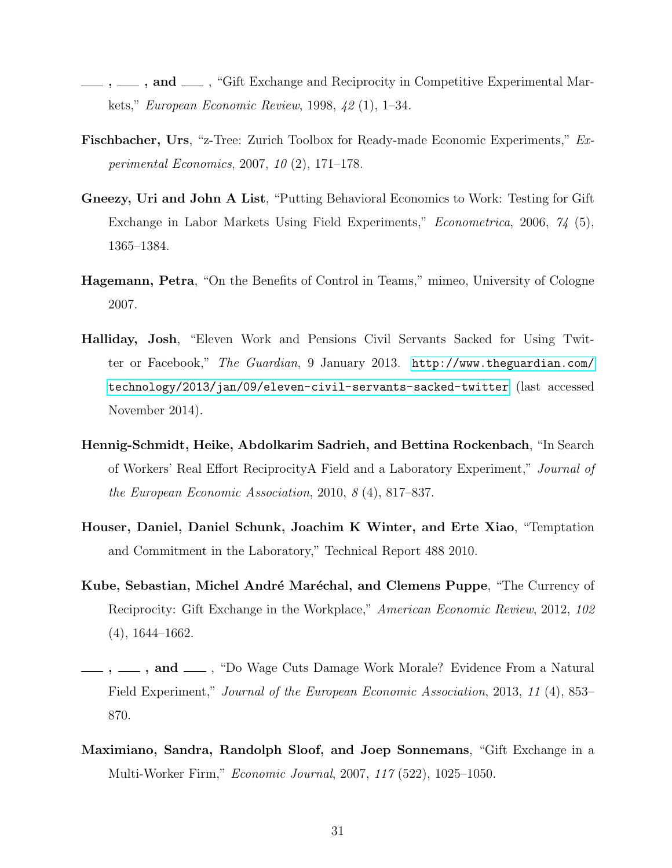- ,  $\ldots$ , and  $\ldots$ , "Gift Exchange and Reciprocity in Competitive Experimental Markets," European Economic Review, 1998, 42 (1), 1–34.
- Fischbacher, Urs, "z-Tree: Zurich Toolbox for Ready-made Economic Experiments," Experimental Economics, 2007, 10 (2), 171–178.
- Gneezy, Uri and John A List, "Putting Behavioral Economics to Work: Testing for Gift Exchange in Labor Markets Using Field Experiments," Econometrica, 2006, 74 (5), 1365–1384.
- Hagemann, Petra, "On the Benefits of Control in Teams," mimeo, University of Cologne 2007.
- Halliday, Josh, "Eleven Work and Pensions Civil Servants Sacked for Using Twitter or Facebook," The Guardian, 9 January 2013. [http://www.theguardian.com/](http://www.theguardian.com/technology/2013/jan/09/eleven-civil-servants-sacked-twitter) [technology/2013/jan/09/eleven-civil-servants-sacked-twitter](http://www.theguardian.com/technology/2013/jan/09/eleven-civil-servants-sacked-twitter) (last accessed November 2014).
- Hennig-Schmidt, Heike, Abdolkarim Sadrieh, and Bettina Rockenbach, "In Search of Workers' Real Effort ReciprocityA Field and a Laboratory Experiment," Journal of the European Economic Association, 2010, 8 (4), 817–837.
- Houser, Daniel, Daniel Schunk, Joachim K Winter, and Erte Xiao, "Temptation and Commitment in the Laboratory," Technical Report 488 2010.
- Kube, Sebastian, Michel André Maréchal, and Clemens Puppe, "The Currency of Reciprocity: Gift Exchange in the Workplace," American Economic Review, 2012, 102 (4), 1644–1662.
- $, \_\_\_$ , and  $\_\_\_$ , "Do Wage Cuts Damage Work Morale? Evidence From a Natural Field Experiment," Journal of the European Economic Association, 2013, 11 (4), 853– 870.
- Maximiano, Sandra, Randolph Sloof, and Joep Sonnemans, "Gift Exchange in a Multi-Worker Firm," Economic Journal, 2007, 117 (522), 1025–1050.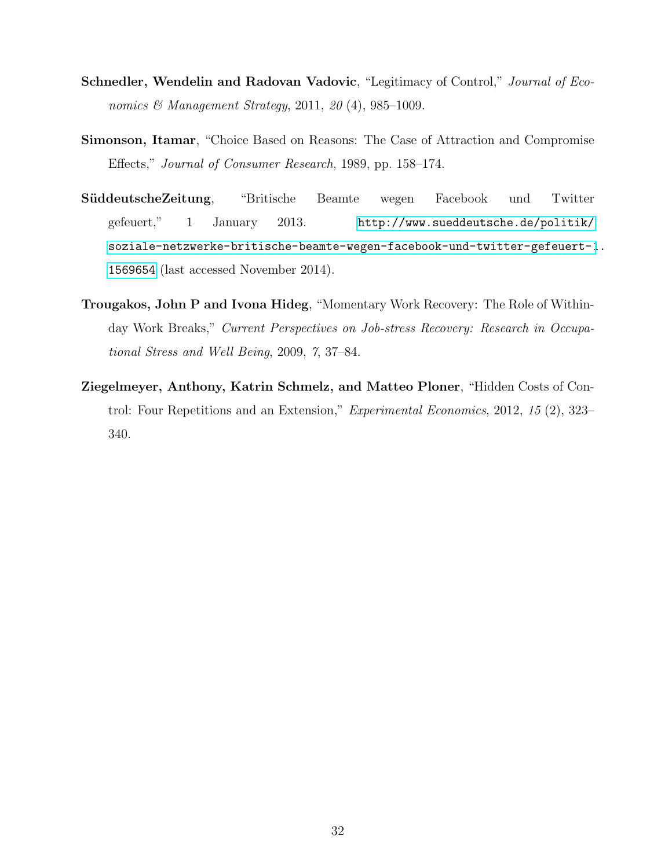- Schnedler, Wendelin and Radovan Vadovic, "Legitimacy of Control," Journal of Economics & Management Strategy, 2011, 20 (4), 985-1009.
- Simonson, Itamar, "Choice Based on Reasons: The Case of Attraction and Compromise Effects," Journal of Consumer Research, 1989, pp. 158–174.
- SüddeutscheZeitung, "Britische Beamte wegen Facebook und Twitter gefeuert," 1 January 2013. [http://www.sueddeutsche.de/politik/](http://www.sueddeutsche.de/politik/soziale-netzwerke-britische-beamte-wegen-facebook-und-twitter-gefeuert-1.1569654) [soziale-netzwerke-britische-beamte-wegen-facebook-und-twitter-gefeuert-1](http://www.sueddeutsche.de/politik/soziale-netzwerke-britische-beamte-wegen-facebook-und-twitter-gefeuert-1.1569654). [1569654](http://www.sueddeutsche.de/politik/soziale-netzwerke-britische-beamte-wegen-facebook-und-twitter-gefeuert-1.1569654) (last accessed November 2014).
- Trougakos, John P and Ivona Hideg, "Momentary Work Recovery: The Role of Withinday Work Breaks," Current Perspectives on Job-stress Recovery: Research in Occupational Stress and Well Being, 2009, 7, 37–84.
- Ziegelmeyer, Anthony, Katrin Schmelz, and Matteo Ploner, "Hidden Costs of Control: Four Repetitions and an Extension," Experimental Economics, 2012, 15 (2), 323– 340.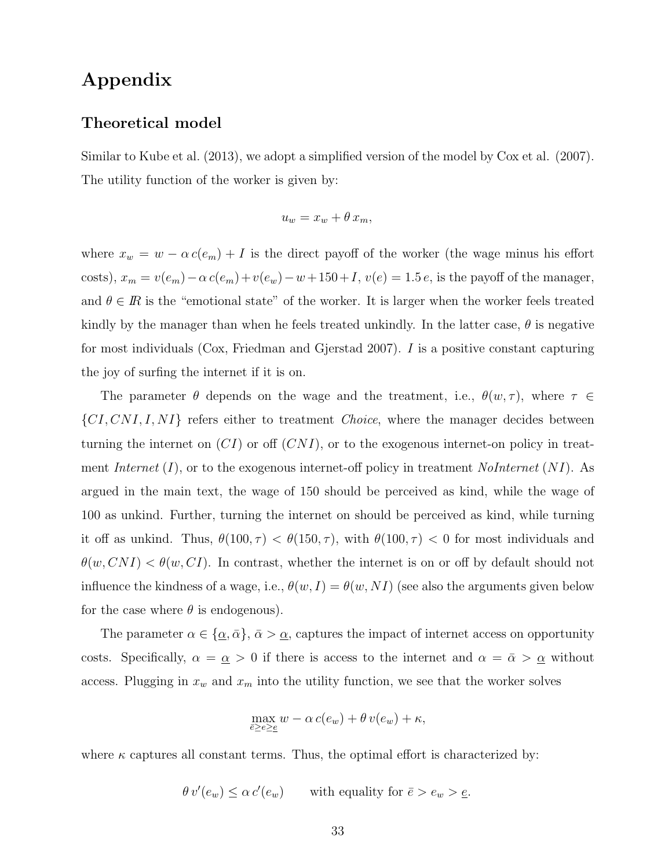# Appendix

#### Theoretical model

Similar to Kube et al. (2013), we adopt a simplified version of the model by Cox et al. (2007). The utility function of the worker is given by:

$$
u_w = x_w + \theta \, x_m,
$$

where  $x_w = w - \alpha c(e_m) + I$  is the direct payoff of the worker (the wage minus his effort costs),  $x_m = v(e_m) - \alpha c(e_m) + v(e_w) - w + 150 + I$ ,  $v(e) = 1.5 e$ , is the payoff of the manager, and  $\theta \in \mathbb{R}$  is the "emotional state" of the worker. It is larger when the worker feels treated kindly by the manager than when he feels treated unkindly. In the latter case,  $\theta$  is negative for most individuals (Cox, Friedman and Gjerstad 2007). I is a positive constant capturing the joy of surfing the internet if it is on.

The parameter  $\theta$  depends on the wage and the treatment, i.e.,  $\theta(w, \tau)$ , where  $\tau \in$  $\{CI, CNI, I, NI\}$  refers either to treatment *Choice*, where the manager decides between turning the internet on  $(CI)$  or off  $(CNI)$ , or to the exogenous internet-on policy in treatment Internet  $(I)$ , or to the exogenous internet-off policy in treatment NoInternet  $(NI)$ . As argued in the main text, the wage of 150 should be perceived as kind, while the wage of 100 as unkind. Further, turning the internet on should be perceived as kind, while turning it off as unkind. Thus,  $\theta(100, \tau) < \theta(150, \tau)$ , with  $\theta(100, \tau) < 0$  for most individuals and  $\theta(w, CNI) < \theta(w, CI)$ . In contrast, whether the internet is on or off by default should not influence the kindness of a wage, i.e.,  $\theta(w, I) = \theta(w, NI)$  (see also the arguments given below for the case where  $\theta$  is endogenous).

The parameter  $\alpha \in {\alpha, \bar{\alpha}}$ ,  $\bar{\alpha} > \alpha$ , captures the impact of internet access on opportunity costs. Specifically,  $\alpha = \underline{\alpha} > 0$  if there is access to the internet and  $\alpha = \overline{\alpha} > \underline{\alpha}$  without access. Plugging in  $x_w$  and  $x_m$  into the utility function, we see that the worker solves

$$
\max_{\bar{e}\geq e\geq \underline{e}} w - \alpha c(e_w) + \theta v(e_w) + \kappa,
$$

where  $\kappa$  captures all constant terms. Thus, the optimal effort is characterized by:

$$
\theta v'(e_w) \leq \alpha c'(e_w)
$$
 with equality for  $\bar{e} > e_w > \underline{e}$ .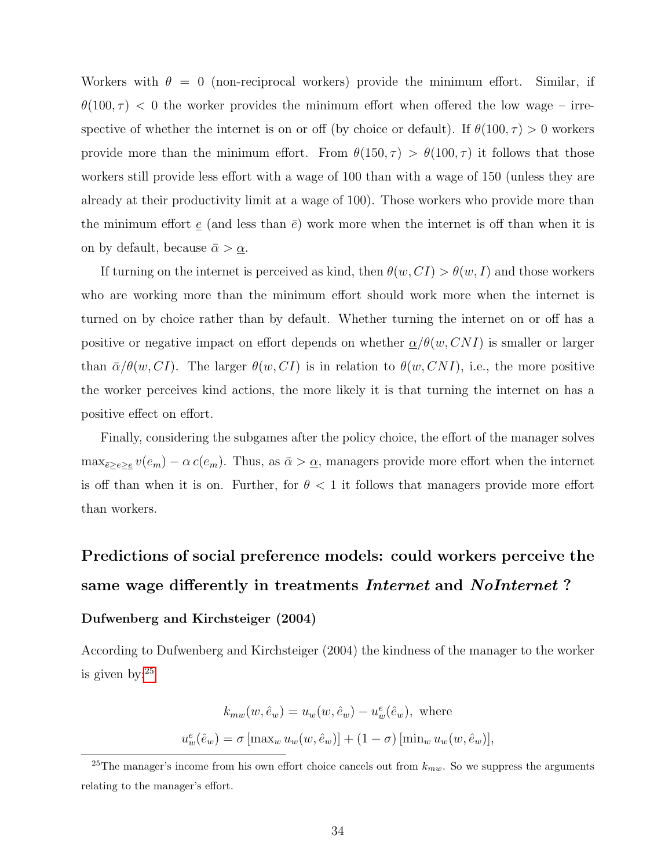Workers with  $\theta = 0$  (non-reciprocal workers) provide the minimum effort. Similar, if  $\theta(100, \tau)$  < 0 the worker provides the minimum effort when offered the low wage – irrespective of whether the internet is on or off (by choice or default). If  $\theta(100, \tau) > 0$  workers provide more than the minimum effort. From  $\theta(150, \tau) > \theta(100, \tau)$  it follows that those workers still provide less effort with a wage of 100 than with a wage of 150 (unless they are already at their productivity limit at a wage of 100). Those workers who provide more than the minimum effort  $\underline{e}$  (and less than  $\overline{e}$ ) work more when the internet is off than when it is on by default, because  $\bar{\alpha} > \underline{\alpha}$ .

If turning on the internet is perceived as kind, then  $\theta(w,CI) > \theta(w, I)$  and those workers who are working more than the minimum effort should work more when the internet is turned on by choice rather than by default. Whether turning the internet on or off has a positive or negative impact on effort depends on whether  $\alpha/\theta(w, CNI)$  is smaller or larger than  $\bar{\alpha}/\theta(w,CI)$ . The larger  $\theta(w,CI)$  is in relation to  $\theta(w, CNI)$ , i.e., the more positive the worker perceives kind actions, the more likely it is that turning the internet on has a positive effect on effort.

Finally, considering the subgames after the policy choice, the effort of the manager solves  $\max_{\bar{e}\geq e\geq \underline{e}}v(e_m)-\alpha c(e_m)$ . Thus, as  $\bar{\alpha}>\underline{\alpha}$ , managers provide more effort when the internet is off than when it is on. Further, for  $\theta < 1$  it follows that managers provide more effort than workers.

# Predictions of social preference models: could workers perceive the same wage differently in treatments *Internet* and *NoInternet*?

#### Dufwenberg and Kirchsteiger (2004)

According to Dufwenberg and Kirchsteiger (2004) the kindness of the manager to the worker is given by:[25](#page-35-0)

$$
k_{mw}(w, \hat{e}_w) = u_w(w, \hat{e}_w) - u_w(\hat{e}_w), \text{ where}
$$
  

$$
u_w^e(\hat{e}_w) = \sigma \left[ \max_w u_w(w, \hat{e}_w) \right] + (1 - \sigma) \left[ \min_w u_w(w, \hat{e}_w) \right],
$$

<span id="page-35-0"></span><sup>&</sup>lt;sup>25</sup>The manager's income from his own effort choice cancels out from  $k_{mw}$ . So we suppress the arguments relating to the manager's effort.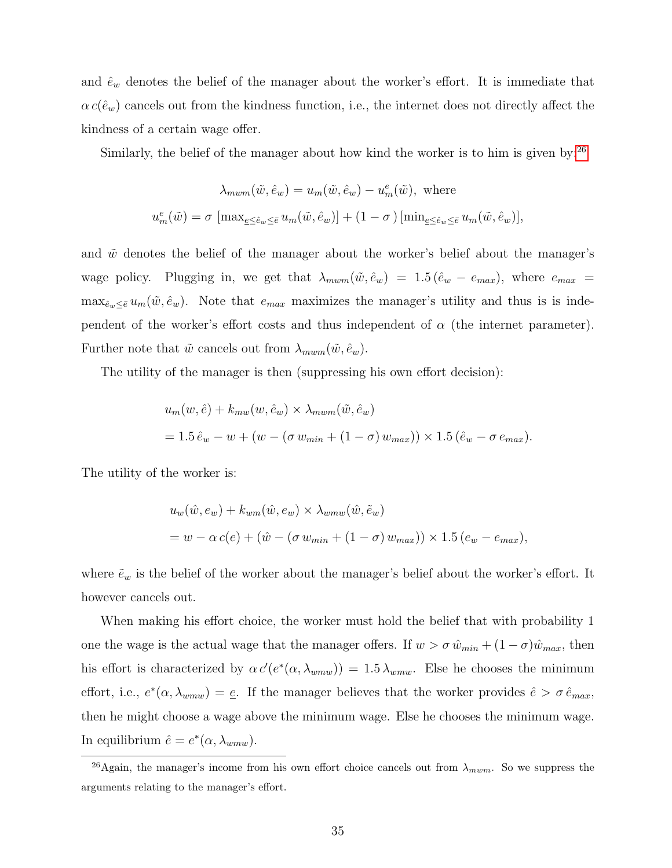and  $\hat{e}_w$  denotes the belief of the manager about the worker's effort. It is immediate that  $\alpha c(\hat{e}_w)$  cancels out from the kindness function, i.e., the internet does not directly affect the kindness of a certain wage offer.

Similarly, the belief of the manager about how kind the worker is to him is given by: $^{26}$  $^{26}$  $^{26}$ 

$$
\lambda_{mwm}(\tilde{w}, \hat{e}_w) = u_m(\tilde{w}, \hat{e}_w) - u_m^e(\tilde{w}), \text{ where}
$$
  

$$
u_m^e(\tilde{w}) = \sigma \left[ \max_{\underline{e} \le \hat{e}_w \le \overline{e}} u_m(\tilde{w}, \hat{e}_w) \right] + (1 - \sigma) \left[ \min_{\underline{e} \le \hat{e}_w \le \overline{e}} u_m(\tilde{w}, \hat{e}_w) \right],
$$

and  $\tilde{w}$  denotes the belief of the manager about the worker's belief about the manager's wage policy. Plugging in, we get that  $\lambda_{mwm}(\tilde{w}, \hat{e}_w) = 1.5 (\hat{e}_w - e_{max})$ , where  $e_{max}$  $\max_{\hat{e}_w\leq \bar{e}} u_m(\tilde{w}, \hat{e}_w)$ . Note that  $e_{max}$  maximizes the manager's utility and thus is is independent of the worker's effort costs and thus independent of  $\alpha$  (the internet parameter). Further note that  $\tilde{w}$  cancels out from  $\lambda_{mwm}(\tilde{w}, \hat{e}_w)$ .

The utility of the manager is then (suppressing his own effort decision):

$$
u_m(w, \hat{e}) + k_{mw}(w, \hat{e}_w) \times \lambda_{mwm}(\tilde{w}, \hat{e}_w)
$$
  
= 1.5  $\hat{e}_w - w + (w - (\sigma w_{min} + (1 - \sigma) w_{max})) \times 1.5 (\hat{e}_w - \sigma e_{max}).$ 

The utility of the worker is:

$$
u_w(\hat{w}, e_w) + k_{wm}(\hat{w}, e_w) \times \lambda_{wmw}(\hat{w}, \tilde{e}_w)
$$
  
= 
$$
w - \alpha c(e) + (\hat{w} - (\sigma w_{min} + (1 - \sigma) w_{max})) \times 1.5 (e_w - e_{max}),
$$

where  $\tilde{e}_w$  is the belief of the worker about the manager's belief about the worker's effort. It however cancels out.

When making his effort choice, the worker must hold the belief that with probability 1 one the wage is the actual wage that the manager offers. If  $w > \sigma \hat{w}_{min} + (1 - \sigma)\hat{w}_{max}$ , then his effort is characterized by  $\alpha c'(e^*(\alpha, \lambda_{wmw})) = 1.5 \lambda_{wmw}$ . Else he chooses the minimum effort, i.e.,  $e^*(\alpha, \lambda_{wmw}) = e$ . If the manager believes that the worker provides  $\hat{e} > \sigma \hat{e}_{max}$ , then he might choose a wage above the minimum wage. Else he chooses the minimum wage. In equilibrium  $\hat{e} = e^*(\alpha, \lambda_{wmw}).$ 

<span id="page-36-0"></span><sup>&</sup>lt;sup>26</sup>Again, the manager's income from his own effort choice cancels out from  $\lambda_{mwm}$ . So we suppress the arguments relating to the manager's effort.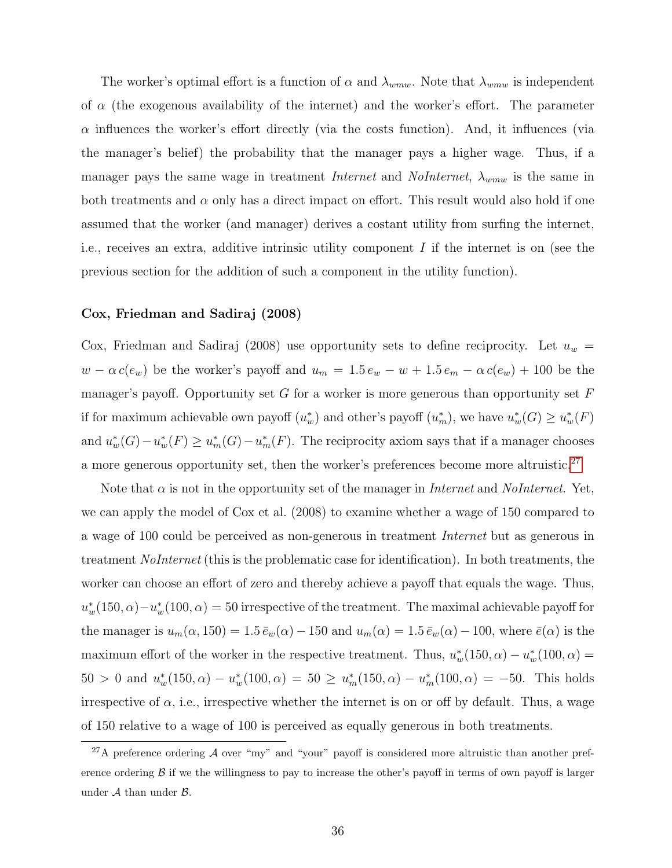The worker's optimal effort is a function of  $\alpha$  and  $\lambda_{wmw}$ . Note that  $\lambda_{wmw}$  is independent of  $\alpha$  (the exogenous availability of the internet) and the worker's effort. The parameter  $\alpha$  influences the worker's effort directly (via the costs function). And, it influences (via the manager's belief) the probability that the manager pays a higher wage. Thus, if a manager pays the same wage in treatment *Internet* and *NoInternet*,  $\lambda_{wmw}$  is the same in both treatments and  $\alpha$  only has a direct impact on effort. This result would also hold if one assumed that the worker (and manager) derives a costant utility from surfing the internet, i.e., receives an extra, additive intrinsic utility component  $I$  if the internet is on (see the previous section for the addition of such a component in the utility function).

#### Cox, Friedman and Sadiraj (2008)

Cox, Friedman and Sadiraj (2008) use opportunity sets to define reciprocity. Let  $u_w$  =  $w - \alpha c(e_w)$  be the worker's payoff and  $u_m = 1.5 e_w - w + 1.5 e_m - \alpha c(e_w) + 100$  be the manager's payoff. Opportunity set G for a worker is more generous than opportunity set  $F$ if for maximum achievable own payoff  $(u_w^*)$  and other's payoff  $(u_m^*)$ , we have  $u_w^*(G) \ge u_w^*(F)$ and  $u_w^*(G) - u_w^*(F) \ge u_m^*(G) - u_m^*(F)$ . The reciprocity axiom says that if a manager chooses a more generous opportunity set, then the worker's preferences become more altruistic.<sup>[27](#page-37-0)</sup>

Note that  $\alpha$  is not in the opportunity set of the manager in *Internet* and *NoInternet*. Yet, we can apply the model of Cox et al. (2008) to examine whether a wage of 150 compared to a wage of 100 could be perceived as non-generous in treatment Internet but as generous in treatment NoInternet (this is the problematic case for identification). In both treatments, the worker can choose an effort of zero and thereby achieve a payoff that equals the wage. Thus,  $u_w^*(150, \alpha) - u_w^*(100, \alpha) = 50$  irrespective of the treatment. The maximal achievable payoff for the manager is  $u_m(\alpha, 150) = 1.5 \bar{e}_w(\alpha) - 150$  and  $u_m(\alpha) = 1.5 \bar{e}_w(\alpha) - 100$ , where  $\bar{e}(\alpha)$  is the maximum effort of the worker in the respective treatment. Thus,  $u_w^*(150, \alpha) - u_w^*(100, \alpha) =$  $50 > 0$  and  $u_w^*(150, \alpha) - u_w^*(100, \alpha) = 50 \ge u_m^*(150, \alpha) - u_m^*(100, \alpha) = -50$ . This holds irrespective of  $\alpha$ , i.e., irrespective whether the internet is on or off by default. Thus, a wage of 150 relative to a wage of 100 is perceived as equally generous in both treatments.

<span id="page-37-0"></span> $27A$  preference ordering  $A$  over "my" and "your" payoff is considered more altruistic than another preference ordering  $\beta$  if we the willingness to pay to increase the other's payoff in terms of own payoff is larger under  $A$  than under  $B$ .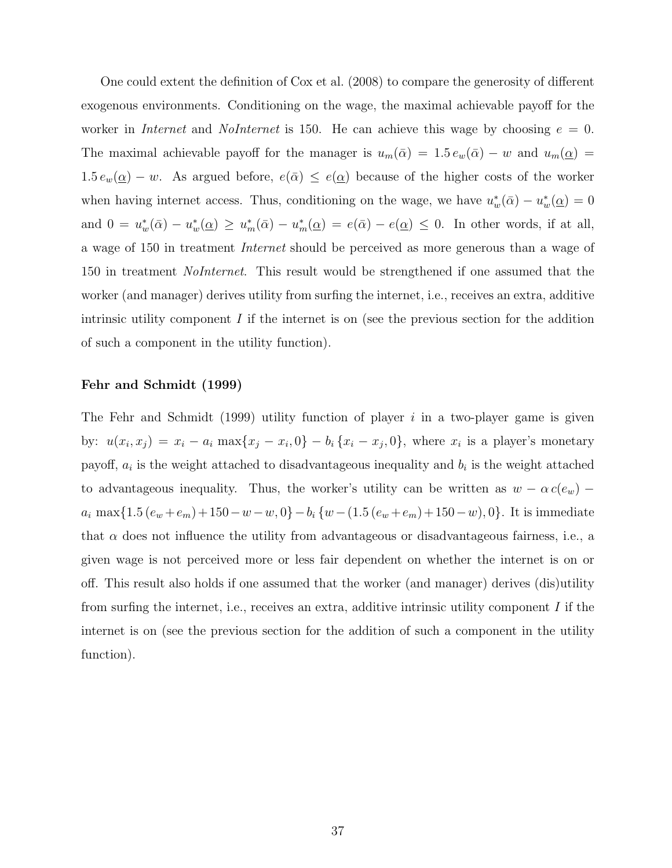One could extent the definition of Cox et al. (2008) to compare the generosity of different exogenous environments. Conditioning on the wage, the maximal achievable payoff for the worker in *Internet* and *NoInternet* is 150. He can achieve this wage by choosing  $e = 0$ . The maximal achievable payoff for the manager is  $u_m(\bar{\alpha}) = 1.5 e_w(\bar{\alpha}) - w$  and  $u_m(\underline{\alpha}) =$  $1.5 e_w(\underline{\alpha}) - w$ . As argued before,  $e(\overline{\alpha}) \leq e(\underline{\alpha})$  because of the higher costs of the worker when having internet access. Thus, conditioning on the wage, we have  $u_w^*(\bar{\alpha}) - u_w^*(\underline{\alpha}) = 0$ and  $0 = u_w^*(\bar{\alpha}) - u_w^*(\underline{\alpha}) \ge u_m^*(\bar{\alpha}) - u_m^*(\underline{\alpha}) = e(\bar{\alpha}) - e(\underline{\alpha}) \le 0$ . In other words, if at all, a wage of 150 in treatment Internet should be perceived as more generous than a wage of 150 in treatment *NoInternet*. This result would be strengthened if one assumed that the worker (and manager) derives utility from surfing the internet, i.e., receives an extra, additive intrinsic utility component  $I$  if the internet is on (see the previous section for the addition of such a component in the utility function).

#### Fehr and Schmidt (1999)

The Fehr and Schmidt (1999) utility function of player  $i$  in a two-player game is given by:  $u(x_i, x_j) = x_i - a_i \max\{x_j - x_i, 0\} - b_i \{x_i - x_j, 0\}$ , where  $x_i$  is a player's monetary payoff,  $a_i$  is the weight attached to disadvantageous inequality and  $b_i$  is the weight attached to advantageous inequality. Thus, the worker's utility can be written as  $w - \alpha c(e_w)$  –  $a_i$  max{1.5  $(e_w + e_m) + 150 - w - w$ , 0}  $-b_i$  { $w - (1.5 (e_w + e_m) + 150 - w)$ , 0}. It is immediate that  $\alpha$  does not influence the utility from advantageous or disadvantageous fairness, i.e., a given wage is not perceived more or less fair dependent on whether the internet is on or off. This result also holds if one assumed that the worker (and manager) derives (dis)utility from surfing the internet, i.e., receives an extra, additive intrinsic utility component  $I$  if the internet is on (see the previous section for the addition of such a component in the utility function).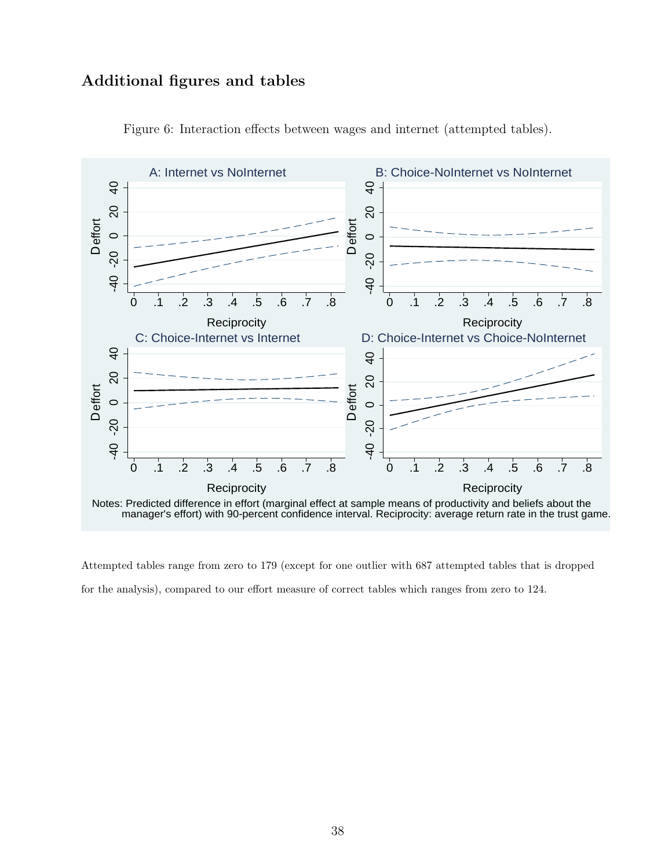## Additional figures and tables



<span id="page-39-0"></span>Figure 6: Interaction effects between wages and internet (attempted tables).

Attempted tables range from zero to 179 (except for one outlier with 687 attempted tables that is dropped for the analysis), compared to our effort measure of correct tables which ranges from zero to 124.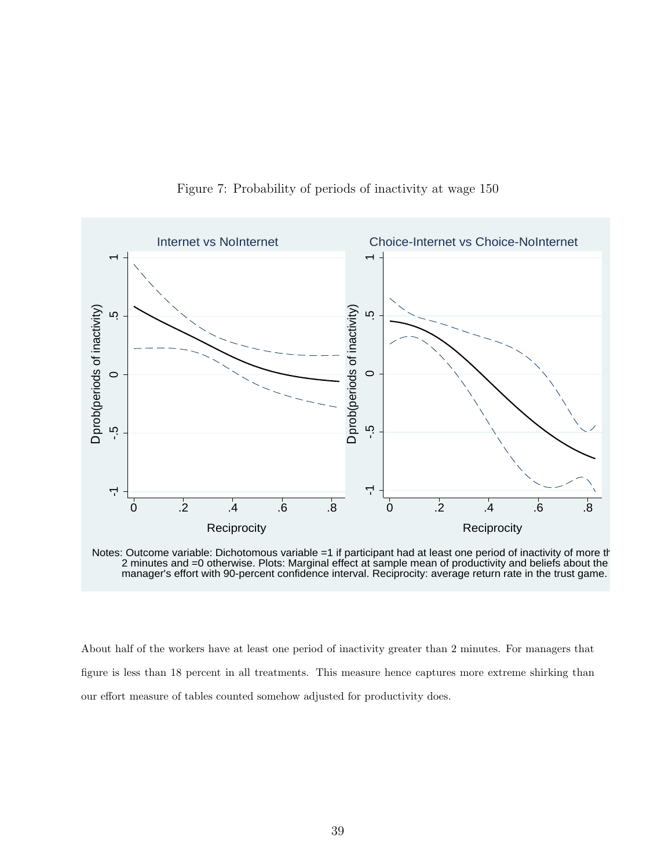

<span id="page-40-0"></span>Figure 7: Probability of periods of inactivity at wage 150

Notes: Outcome variable: Dichotomous variable =1 if participant had at least one period of inactivity of more th 2 minutes and =0 otherwise. Plots: Marginal effect at sample mean of productivity and beliefs about the manager's effort with 90-percent confidence interval. Reciprocity: average return rate in the trust game.

About half of the workers have at least one period of inactivity greater than 2 minutes. For managers that figure is less than 18 percent in all treatments. This measure hence captures more extreme shirking than our effort measure of tables counted somehow adjusted for productivity does.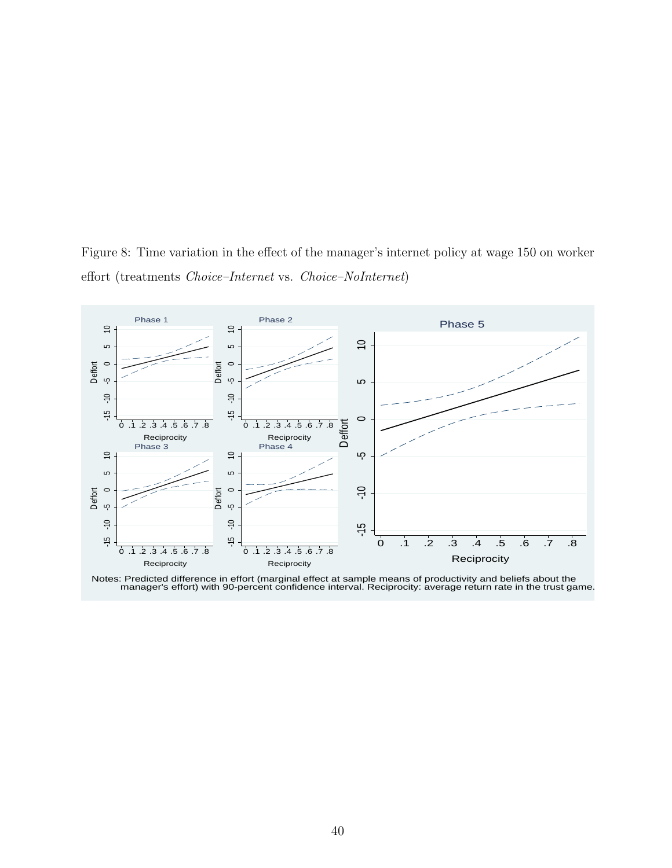<span id="page-41-0"></span>Figure 8: Time variation in the effect of the manager's internet policy at wage 150 on worker effort (treatments Choice–Internet vs. Choice–NoInternet)



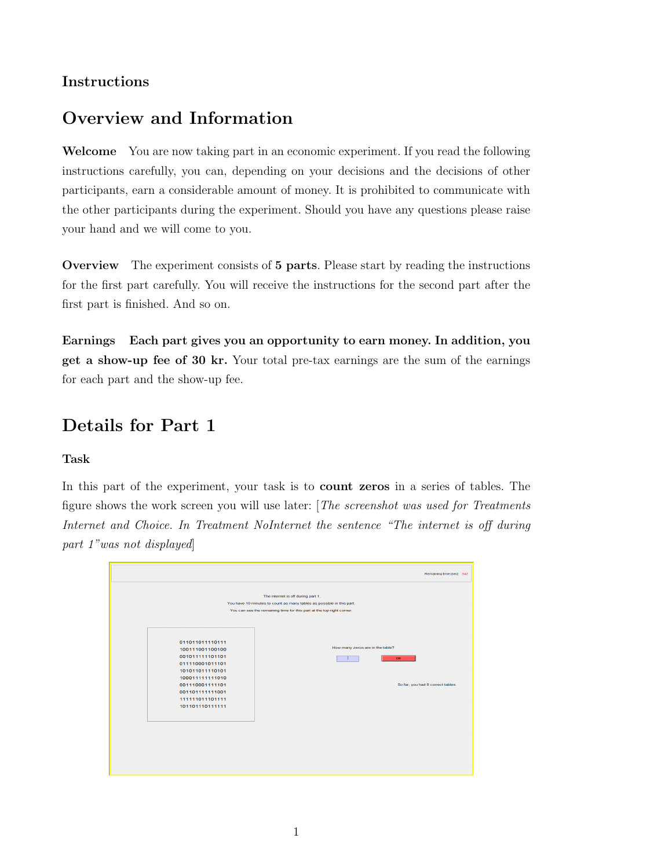## Instructions

# Overview and Information

Welcome You are now taking part in an economic experiment. If you read the following instructions carefully, you can, depending on your decisions and the decisions of other participants, earn a considerable amount of money. It is prohibited to communicate with the other participants during the experiment. Should you have any questions please raise your hand and we will come to you.

Overview The experiment consists of 5 parts. Please start by reading the instructions for the first part carefully. You will receive the instructions for the second part after the first part is finished. And so on.

Earnings Each part gives you an opportunity to earn money. In addition, you get a show-up fee of 30 kr. Your total pre-tax earnings are the sum of the earnings for each part and the show-up fee.

# Details for Part 1

#### Task

In this part of the experiment, your task is to count zeros in a series of tables. The figure shows the work screen you will use later: [The screenshot was used for Treatments Internet and Choice. In Treatment NoInternet the sentence "The internet is off during part 1"was not displayed]

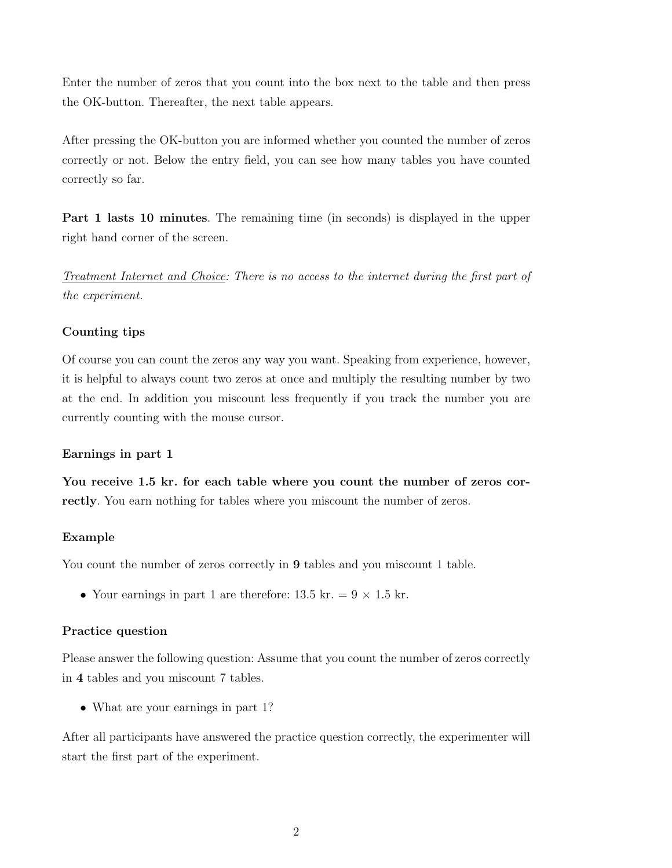Enter the number of zeros that you count into the box next to the table and then press the OK-button. Thereafter, the next table appears.

After pressing the OK-button you are informed whether you counted the number of zeros correctly or not. Below the entry field, you can see how many tables you have counted correctly so far.

Part 1 lasts 10 minutes. The remaining time (in seconds) is displayed in the upper right hand corner of the screen.

Treatment Internet and Choice: There is no access to the internet during the first part of the experiment.

#### Counting tips

Of course you can count the zeros any way you want. Speaking from experience, however, it is helpful to always count two zeros at once and multiply the resulting number by two at the end. In addition you miscount less frequently if you track the number you are currently counting with the mouse cursor.

#### Earnings in part 1

You receive 1.5 kr. for each table where you count the number of zeros correctly. You earn nothing for tables where you miscount the number of zeros.

#### Example

You count the number of zeros correctly in 9 tables and you miscount 1 table.

• Your earnings in part 1 are therefore: 13.5 kr. =  $9 \times 1.5$  kr.

#### Practice question

Please answer the following question: Assume that you count the number of zeros correctly in 4 tables and you miscount 7 tables.

• What are your earnings in part 1?

After all participants have answered the practice question correctly, the experimenter will start the first part of the experiment.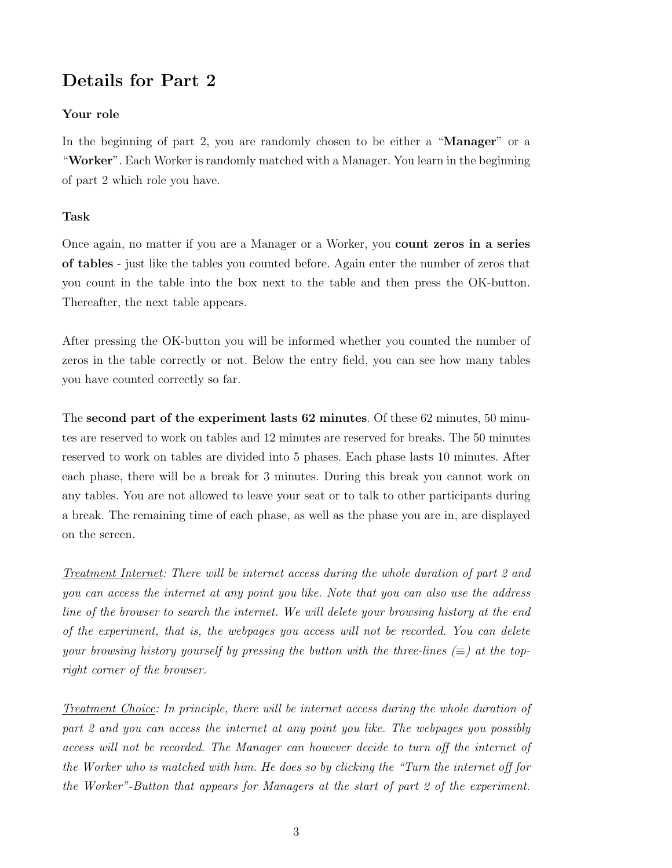## Details for Part 2

#### Your role

In the beginning of part 2, you are randomly chosen to be either a "**Manager**" or a "Worker". Each Worker is randomly matched with a Manager. You learn in the beginning of part 2 which role you have.

#### Task

Once again, no matter if you are a Manager or a Worker, you count zeros in a series of tables - just like the tables you counted before. Again enter the number of zeros that you count in the table into the box next to the table and then press the OK-button. Thereafter, the next table appears.

After pressing the OK-button you will be informed whether you counted the number of zeros in the table correctly or not. Below the entry field, you can see how many tables you have counted correctly so far.

The second part of the experiment lasts 62 minutes. Of these 62 minutes, 50 minutes are reserved to work on tables and 12 minutes are reserved for breaks. The 50 minutes reserved to work on tables are divided into 5 phases. Each phase lasts 10 minutes. After each phase, there will be a break for 3 minutes. During this break you cannot work on any tables. You are not allowed to leave your seat or to talk to other participants during a break. The remaining time of each phase, as well as the phase you are in, are displayed on the screen.

Treatment Internet: There will be internet access during the whole duration of part 2 and you can access the internet at any point you like. Note that you can also use the address line of the browser to search the internet. We will delete your browsing history at the end of the experiment, that is, the webpages you access will not be recorded. You can delete your browsing history yourself by pressing the button with the three-lines  $(\equiv)$  at the topright corner of the browser.

Treatment Choice: In principle, there will be internet access during the whole duration of part 2 and you can access the internet at any point you like. The webpages you possibly access will not be recorded. The Manager can however decide to turn off the internet of the Worker who is matched with him. He does so by clicking the "Turn the internet off for the Worker"-Button that appears for Managers at the start of part 2 of the experiment.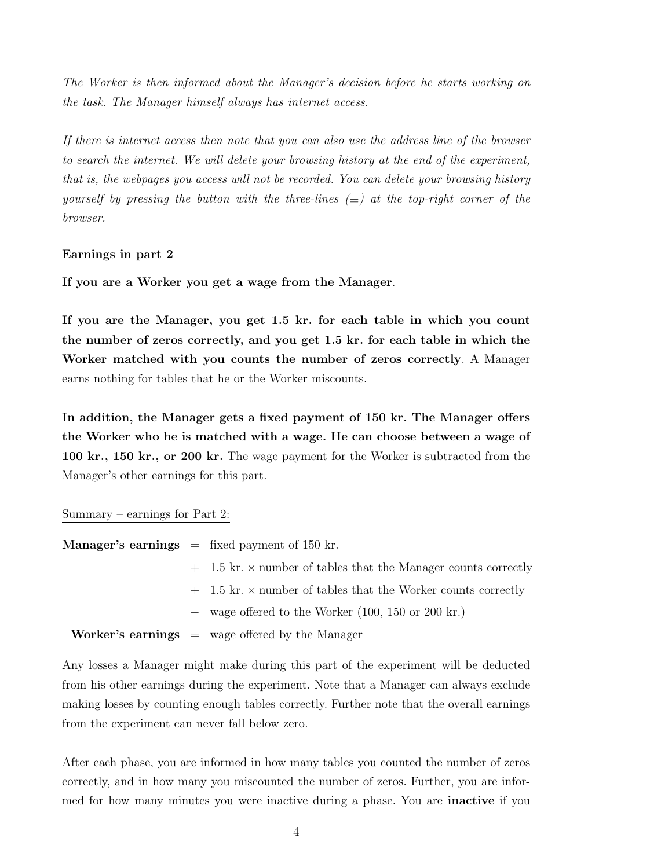The Worker is then informed about the Manager's decision before he starts working on the task. The Manager himself always has internet access.

If there is internet access then note that you can also use the address line of the browser to search the internet. We will delete your browsing history at the end of the experiment, that is, the webpages you access will not be recorded. You can delete your browsing history yourself by pressing the button with the three-lines  $(\equiv)$  at the top-right corner of the browser.

#### Earnings in part 2

If you are a Worker you get a wage from the Manager.

If you are the Manager, you get 1.5 kr. for each table in which you count the number of zeros correctly, and you get 1.5 kr. for each table in which the Worker matched with you counts the number of zeros correctly. A Manager earns nothing for tables that he or the Worker miscounts.

In addition, the Manager gets a fixed payment of 150 kr. The Manager offers the Worker who he is matched with a wage. He can choose between a wage of 100 kr., 150 kr., or 200 kr. The wage payment for the Worker is subtracted from the Manager's other earnings for this part.

#### Summary – earnings for Part 2:

|  | <b>Manager's earnings</b> $=$ fixed payment of 150 kr.                  |
|--|-------------------------------------------------------------------------|
|  | $+$ 1.5 kr. $\times$ number of tables that the Manager counts correctly |
|  | $+$ 1.5 kr. $\times$ number of tables that the Worker counts correctly  |
|  | $-$ wage offered to the Worker (100, 150 or 200 kr.)                    |
|  | <b>Worker's earnings</b> $=$ wage offered by the Manager                |

Any losses a Manager might make during this part of the experiment will be deducted from his other earnings during the experiment. Note that a Manager can always exclude making losses by counting enough tables correctly. Further note that the overall earnings from the experiment can never fall below zero.

After each phase, you are informed in how many tables you counted the number of zeros correctly, and in how many you miscounted the number of zeros. Further, you are informed for how many minutes you were inactive during a phase. You are **inactive** if you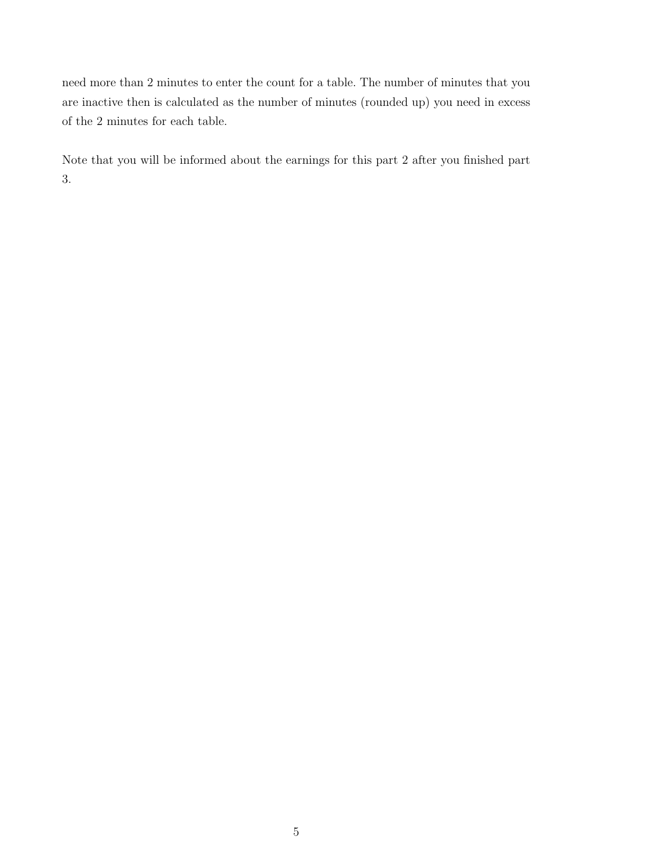need more than 2 minutes to enter the count for a table. The number of minutes that you are inactive then is calculated as the number of minutes (rounded up) you need in excess of the 2 minutes for each table.

Note that you will be informed about the earnings for this part 2 after you finished part 3.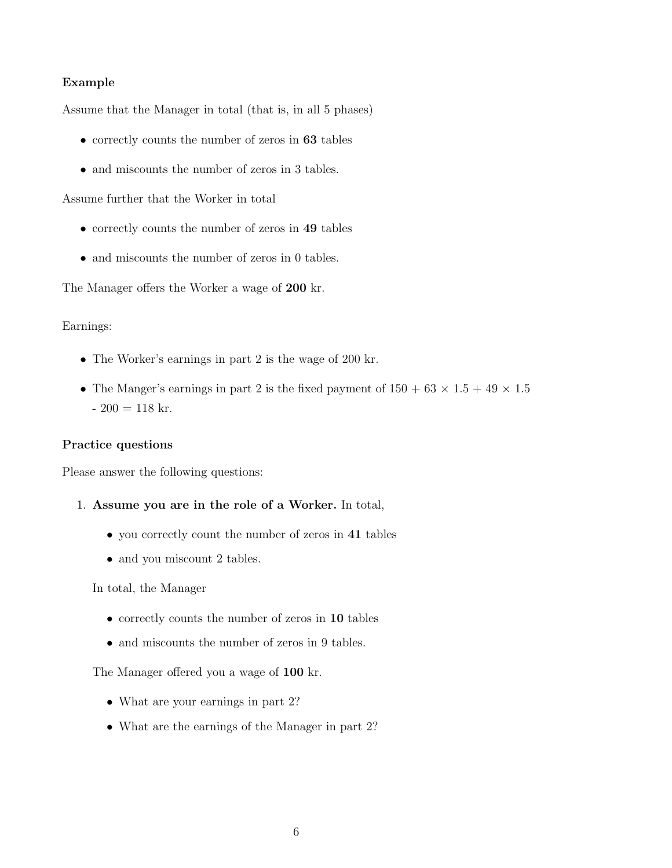#### Example

Assume that the Manager in total (that is, in all 5 phases)

- correctly counts the number of zeros in 63 tables
- and miscounts the number of zeros in 3 tables.

Assume further that the Worker in total

- correctly counts the number of zeros in 49 tables
- and miscounts the number of zeros in 0 tables.

The Manager offers the Worker a wage of 200 kr.

#### Earnings:

- The Worker's earnings in part 2 is the wage of 200 kr.
- The Manger's earnings in part 2 is the fixed payment of  $150 + 63 \times 1.5 + 49 \times 1.5$  $-200 = 118$  kr.

#### Practice questions

Please answer the following questions:

- 1. Assume you are in the role of a Worker. In total,
	- you correctly count the number of zeros in 41 tables
	- and you miscount 2 tables.

In total, the Manager

- correctly counts the number of zeros in 10 tables
- and miscounts the number of zeros in 9 tables.

The Manager offered you a wage of 100 kr.

- What are your earnings in part 2?
- What are the earnings of the Manager in part 2?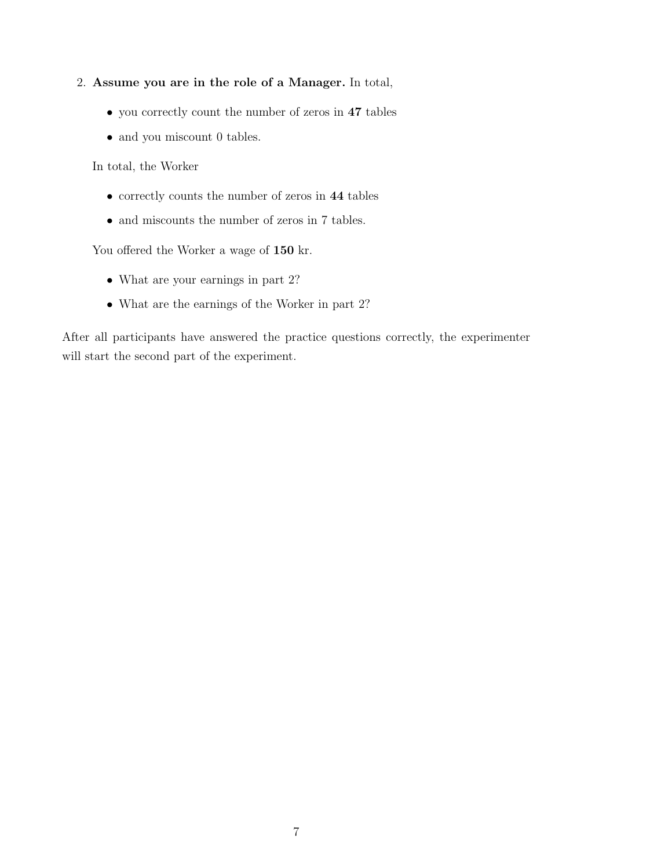- 2. Assume you are in the role of a Manager. In total,
	- you correctly count the number of zeros in 47 tables
	- and you miscount 0 tables.

In total, the Worker

- correctly counts the number of zeros in 44 tables
- and miscounts the number of zeros in 7 tables.

You offered the Worker a wage of  $150$  kr.

- What are your earnings in part 2?
- What are the earnings of the Worker in part 2?

After all participants have answered the practice questions correctly, the experimenter will start the second part of the experiment.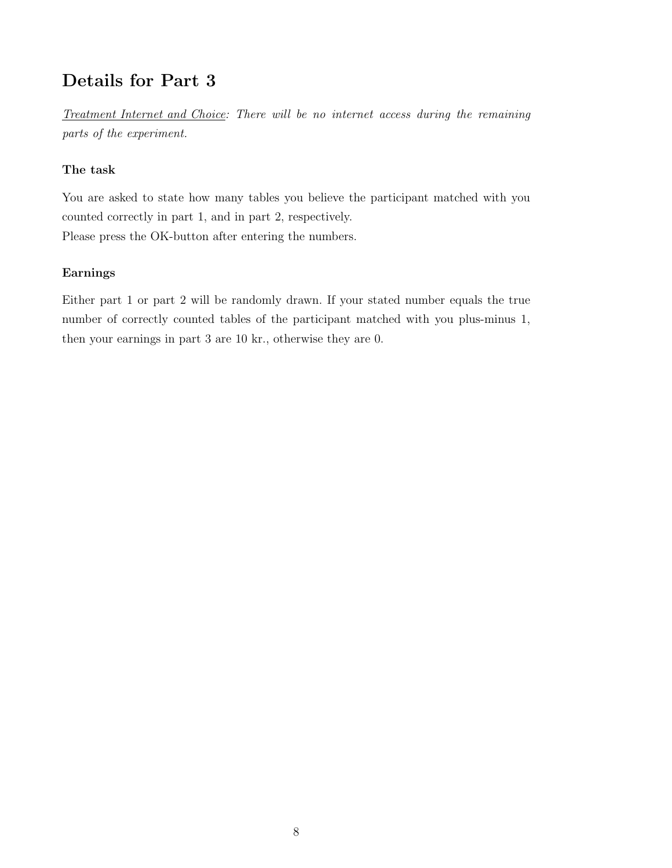# Details for Part 3

Treatment Internet and Choice: There will be no internet access during the remaining parts of the experiment.

#### The task

You are asked to state how many tables you believe the participant matched with you counted correctly in part 1, and in part 2, respectively. Please press the OK-button after entering the numbers.

#### Earnings

Either part 1 or part 2 will be randomly drawn. If your stated number equals the true number of correctly counted tables of the participant matched with you plus-minus 1, then your earnings in part 3 are 10 kr., otherwise they are 0.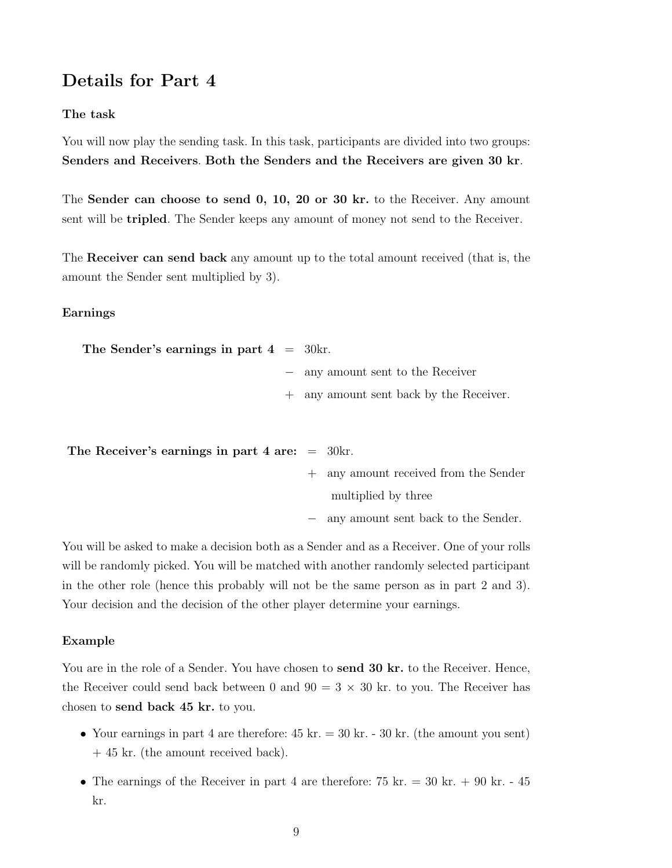## Details for Part 4

#### The task

You will now play the sending task. In this task, participants are divided into two groups: Senders and Receivers. Both the Senders and the Receivers are given 30 kr.

The Sender can choose to send 0, 10, 20 or 30 kr. to the Receiver. Any amount sent will be tripled. The Sender keeps any amount of money not send to the Receiver.

The Receiver can send back any amount up to the total amount received (that is, the amount the Sender sent multiplied by 3).

#### Earnings

| The Sender's earnings in part $4 = 30$ kr. |                                         |
|--------------------------------------------|-----------------------------------------|
|                                            | - any amount sent to the Receiver       |
|                                            | + any amount sent back by the Receiver. |

| The Receiver's earnings in part 4 are: $=$ 30kr. |                                       |
|--------------------------------------------------|---------------------------------------|
|                                                  | + any amount received from the Sender |
|                                                  | multiplied by three                   |

− any amount sent back to the Sender.

You will be asked to make a decision both as a Sender and as a Receiver. One of your rolls will be randomly picked. You will be matched with another randomly selected participant in the other role (hence this probably will not be the same person as in part 2 and 3). Your decision and the decision of the other player determine your earnings.

#### Example

You are in the role of a Sender. You have chosen to **send 30 kr.** to the Receiver. Hence, the Receiver could send back between 0 and  $90 = 3 \times 30$  kr. to you. The Receiver has chosen to send back 45 kr. to you.

- Your earnings in part 4 are therefore:  $45 \text{ kr.} = 30 \text{ kr.}$  (the amount you sent) + 45 kr. (the amount received back).
- The earnings of the Receiver in part 4 are therefore:  $75 \text{ kr.} = 30 \text{ kr.} + 90 \text{ kr.} 45$ kr.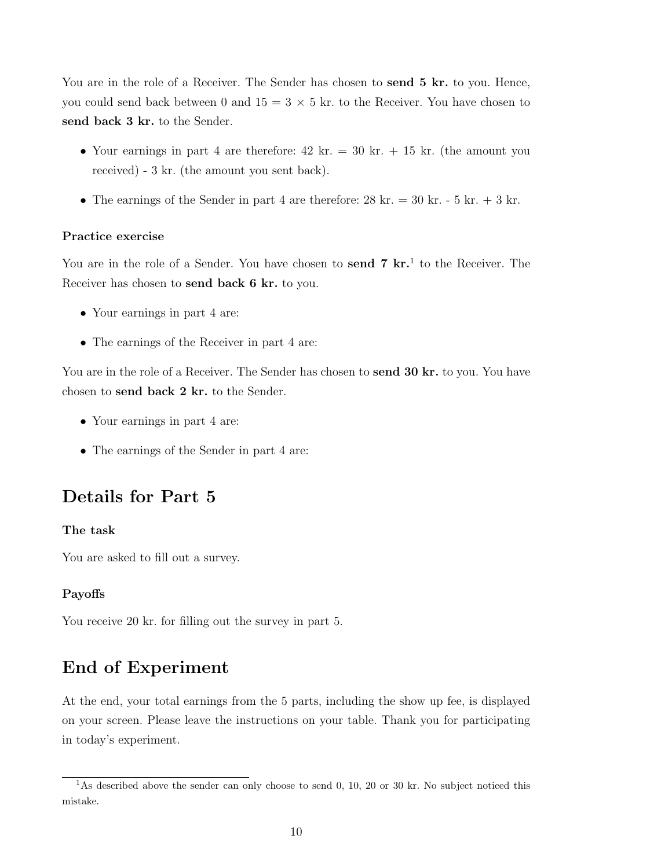You are in the role of a Receiver. The Sender has chosen to send 5 kr. to you. Hence, you could send back between 0 and  $15 = 3 \times 5$  kr. to the Receiver. You have chosen to send back 3 kr. to the Sender.

- Your earnings in part 4 are therefore:  $42 \text{ kr.} = 30 \text{ kr.} + 15 \text{ kr.}$  (the amount you received) - 3 kr. (the amount you sent back).
- The earnings of the Sender in part 4 are therefore:  $28 \text{ kr.} = 30 \text{ kr.} 5 \text{ kr.} + 3 \text{ kr.}$

#### Practice exercise

You are in the role of a Sender. You have chosen to send 7 kr.<sup>1</sup> to the Receiver. The Receiver has chosen to send back 6 kr. to you.

- Your earnings in part 4 are:
- The earnings of the Receiver in part 4 are:

You are in the role of a Receiver. The Sender has chosen to **send 30 kr.** to you. You have chosen to send back 2 kr. to the Sender.

- Your earnings in part 4 are:
- The earnings of the Sender in part 4 are:

## Details for Part 5

#### The task

You are asked to fill out a survey.

#### Payoffs

You receive 20 kr. for filling out the survey in part 5.

## End of Experiment

At the end, your total earnings from the 5 parts, including the show up fee, is displayed on your screen. Please leave the instructions on your table. Thank you for participating in today's experiment.

<sup>&</sup>lt;sup>1</sup>As described above the sender can only choose to send 0, 10, 20 or 30 kr. No subject noticed this mistake.